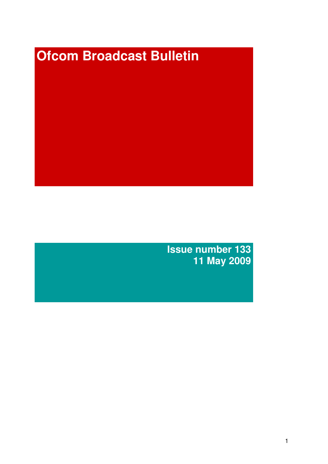# **Ofcom Broadcast Bulletin**

**Issue number 133 11 May 2009**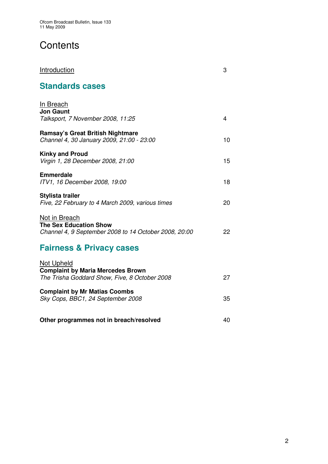# **Contents**

| <b>Introduction</b>                                                                                            | 3  |
|----------------------------------------------------------------------------------------------------------------|----|
| <b>Standards cases</b>                                                                                         |    |
| In Breach<br><b>Jon Gaunt</b><br>Talksport, 7 November 2008, 11:25                                             | 4  |
| <b>Ramsay's Great British Nightmare</b><br>Channel 4, 30 January 2009, 21:00 - 23:00                           | 10 |
| <b>Kinky and Proud</b><br>Virgin 1, 28 December 2008, 21:00                                                    | 15 |
| <b>Emmerdale</b><br>ITV1, 16 December 2008, 19:00                                                              | 18 |
| Stylista trailer<br>Five, 22 February to 4 March 2009, various times                                           | 20 |
| Not in Breach<br><b>The Sex Education Show</b><br>Channel 4, 9 September 2008 to 14 October 2008, 20:00        | 22 |
| <b>Fairness &amp; Privacy cases</b>                                                                            |    |
| <b>Not Upheld</b><br><b>Complaint by Maria Mercedes Brown</b><br>The Trisha Goddard Show, Five, 8 October 2008 | 27 |

#### **Complaint by Mr Matias Coombs**

| Other programmes not in breach/resolved |  |
|-----------------------------------------|--|
|                                         |  |

*Sky Cops, BBC1, 24 September 2008* 35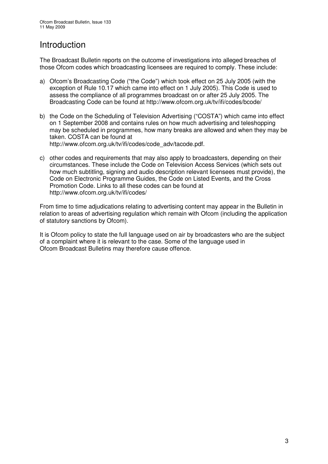# Introduction

The Broadcast Bulletin reports on the outcome of investigations into alleged breaches of those Ofcom codes which broadcasting licensees are required to comply. These include:

- a) Ofcom's Broadcasting Code ("the Code") which took effect on 25 July 2005 (with the exception of Rule 10.17 which came into effect on 1 July 2005). This Code is used to assess the compliance of all programmes broadcast on or after 25 July 2005. The Broadcasting Code can be found at http://www.ofcom.org.uk/tv/ifi/codes/bcode/
- b) the Code on the Scheduling of Television Advertising ("COSTA") which came into effect on 1 September 2008 and contains rules on how much advertising and teleshopping may be scheduled in programmes, how many breaks are allowed and when they may be taken. COSTA can be found at http://www.ofcom.org.uk/tv/ifi/codes/code\_adv/tacode.pdf.
- c) other codes and requirements that may also apply to broadcasters, depending on their circumstances. These include the Code on Television Access Services (which sets out how much subtitling, signing and audio description relevant licensees must provide), the Code on Electronic Programme Guides, the Code on Listed Events, and the Cross Promotion Code. Links to all these codes can be found at http://www.ofcom.org.uk/tv/ifi/codes/

From time to time adjudications relating to advertising content may appear in the Bulletin in relation to areas of advertising regulation which remain with Ofcom (including the application of statutory sanctions by Ofcom).

It is Ofcom policy to state the full language used on air by broadcasters who are the subject of a complaint where it is relevant to the case. Some of the language used in Ofcom Broadcast Bulletins may therefore cause offence.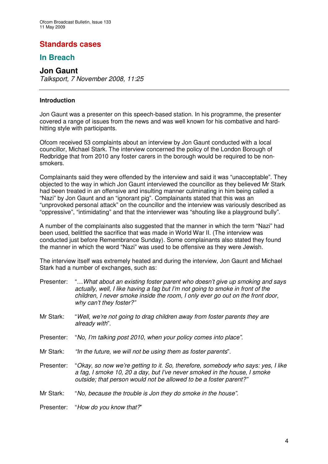# **Standards cases**

## **In Breach**

### **Jon Gaunt**

*Talksport, 7 November 2008, 11:25*

#### **Introduction**

Jon Gaunt was a presenter on this speech-based station. In his programme, the presenter covered a range of issues from the news and was well known for his combative and hardhitting style with participants.

Ofcom received 53 complaints about an interview by Jon Gaunt conducted with a local councillor, Michael Stark. The interview concerned the policy of the London Borough of Redbridge that from 2010 any foster carers in the borough would be required to be nonsmokers.

Complainants said they were offended by the interview and said it was "unacceptable". They objected to the way in which Jon Gaunt interviewed the councillor as they believed Mr Stark had been treated in an offensive and insulting manner culminating in him being called a "Nazi" by Jon Gaunt and an "ignorant pig". Complainants stated that this was an "unprovoked personal attack" on the councillor and the interview was variously described as "oppressive", "intimidating" and that the interviewer was "shouting like a playground bully".

A number of the complainants also suggested that the manner in which the term "Nazi" had been used, belittled the sacrifice that was made in World War II. (The interview was conducted just before Remembrance Sunday). Some complainants also stated they found the manner in which the word "Nazi" was used to be offensive as they were Jewish.

The interview itself was extremely heated and during the interview, Jon Gaunt and Michael Stark had a number of exchanges, such as:

| Presenter: | " What about an existing foster parent who doesn't give up smoking and says<br>actually, well, I like having a fag but I'm not going to smoke in front of the<br>children, I never smoke inside the room, I only ever go out on the front door,<br>why can't they foster?" |
|------------|----------------------------------------------------------------------------------------------------------------------------------------------------------------------------------------------------------------------------------------------------------------------------|
| Mr Stark:  | "Well, we're not going to drag children away from foster parents they are<br>already with".                                                                                                                                                                                |
| Presenter: | "No, I'm talking post 2010, when your policy comes into place".                                                                                                                                                                                                            |
| Mr Stark:  | "In the future, we will not be using them as foster parents".                                                                                                                                                                                                              |
| Presenter: | "Okay, so now we're getting to it. So, therefore, somebody who says: yes, I like<br>a fag, I smoke 10, 20 a day, but I've never smoked in the house, I smoke<br>outside; that person would not be allowed to be a foster parent?"                                          |
| Mr Stark:  | "No, because the trouble is Jon they do smoke in the house".                                                                                                                                                                                                               |
| Presenter: | "How do you know that?"                                                                                                                                                                                                                                                    |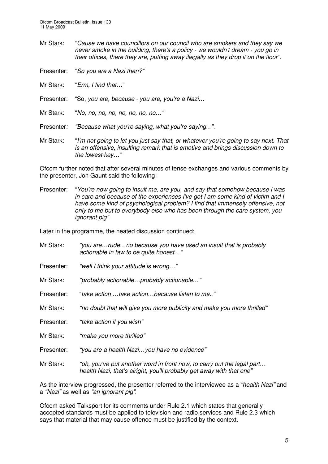- Mr Stark: "*Cause we have councillors on our council who are smokers and they say we never smoke in the building, there's a policy - we wouldn't dream - you go in their offices, there they are, puffing away illegally as they drop it on the floor*".
- Presenter: "*So you are a Nazi then?"*
- Mr Stark: "*Erm, I find that…*"
- Presenter: "So, *you are, because - you are, you're a Nazi…*
- Mr Stark: "*No, no, no, no, no, no, no, no…"*
- Presenter*: "Because what you're saying, what you're saying*…"*.*
- Mr Stark: "*I'm not going to let you just say that, or whatever you're going to say next. That is an offensive, insulting remark that is emotive and brings discussion down to the lowest key…"*

Ofcom further noted that after several minutes of tense exchanges and various comments by the presenter, Jon Gaunt said the following:

Presenter: "*You're now going to insult me, are you, and say that somehow because I was in care and because of the experiences I've got I am some kind of victim and I have some kind of psychological problem? I find that immensely offensive, not only to me but to everybody else who has been through the care system, you ignorant pig".*

Later in the programme, the heated discussion continued:

- Mr Stark: *"you are…rude…no because you have used an insult that is probably actionable in law to be quite honest…"*
- Presenter: *"well I think your attitude is wrong…"*
- Mr Stark: *"probably actionable…probably actionable…"*
- Presenter: "*take action …take action…because listen to me.."*
- Mr Stark: *"no doubt that will give you more publicity and make you more thrilled"*
- Presenter: *"take action if you wish"*
- Mr Stark: *"make you more thrilled"*
- Presenter: *"you are a health Nazi…you have no evidence"*
- Mr Stark: *"oh, you've put another word in front now, to carry out the legal part… health Nazi, that's alright, you'll probably get away with that one"*

As the interview progressed, the presenter referred to the interviewee as a *"health Nazi"* and a *"Nazi"* as well as *"an ignorant pig"*.

Ofcom asked Talksport for its comments under Rule 2.1 which states that generally accepted standards must be applied to television and radio services and Rule 2.3 which says that material that may cause offence must be justified by the context.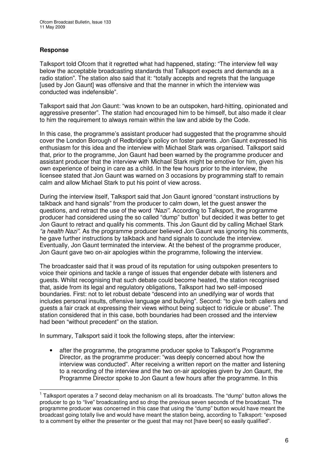#### **Response**

Talksport told Ofcom that it regretted what had happened, stating: "The interview fell way below the acceptable broadcasting standards that Talksport expects and demands as a radio station". The station also said that it: "totally accepts and regrets that the language [used by Jon Gaunt] was offensive and that the manner in which the interview was conducted was indefensible".

Talksport said that Jon Gaunt: "was known to be an outspoken, hard-hitting, opinionated and aggressive presenter". The station had encouraged him to be himself, but also made it clear to him the requirement to always remain within the law and abide by the Code.

In this case, the programme's assistant producer had suggested that the programme should cover the London Borough of Redbridge's policy on foster parents. Jon Gaunt expressed his enthusiasm for this idea and the interview with Michael Stark was organised. Talksport said that, prior to the programme, Jon Gaunt had been warned by the programme producer and assistant producer that the interview with Michael Stark might be emotive for him, given his own experience of being in care as a child. In the few hours prior to the interview, the licensee stated that Jon Gaunt was warned on 3 occasions by programming staff to remain calm and allow Michael Stark to put his point of view across.

During the interview itself, Talksport said that Jon Gaunt ignored "constant instructions by talkback and hand signals" from the producer to calm down, let the guest answer the questions, and retract the use of the word *"Nazi"*. According to Talksport, the programme producer had considered using the so called "dump" button<sup>1</sup> but decided it was better to get Jon Gaunt to retract and qualify his comments. This Jon Gaunt did by calling Michael Stark *"a health Nazi"*. As the programme producer believed Jon Gaunt was ignoring his comments, he gave further instructions by talkback and hand signals to conclude the interview. Eventually, Jon Gaunt terminated the interview. At the behest of the programme producer, Jon Gaunt gave two on-air apologies within the programme, following the interview.

The broadcaster said that it was proud of its reputation for using outspoken presenters to voice their opinions and tackle a range of issues that engender debate with listeners and guests. Whilst recognising that such debate could become heated, the station recognised that, aside from its legal and regulatory obligations, Talksport had two self-imposed boundaries. First: not to let robust debate "descend into an unedifying war of words that includes personal insults, offensive language and bullying". Second: "to give both callers and guests a fair crack at expressing their views without being subject to ridicule or abuse". The station considered that in this case, both boundaries had been crossed and the interview had been "without precedent" on the station.

In summary, Talksport said it took the following steps, after the interview:

• after the programme, the programme producer spoke to Talksport's Programme Director, as the programme producer: "was deeply concerned about how the interview was conducted". After receiving a written report on the matter and listening to a recording of the interview and the two on-air apologies given by Jon Gaunt, the Programme Director spoke to Jon Gaunt a few hours after the programme. In this

<sup>&</sup>lt;sup>1</sup> Talksport operates a 7 second delay mechanism on all its broadcasts. The "dump" button allows the producer to go to "live" broadcasting and so drop the previous seven seconds of the broadcast. The programme producer was concerned in this case that using the "dump" button would have meant the broadcast going totally live and would have meant the station being, according to Talksport: "exposed to a comment by either the presenter or the guest that may not [have been] so easily qualified".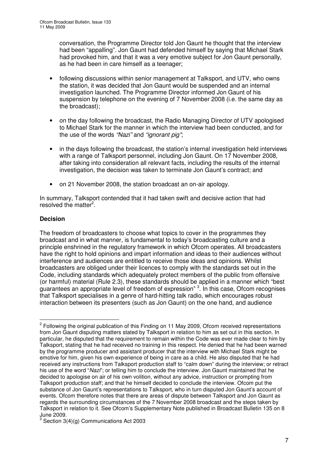conversation, the Programme Director told Jon Gaunt he thought that the interview had been "appalling". Jon Gaunt had defended himself by saying that Michael Stark had provoked him, and that it was a very emotive subject for Jon Gaunt personally, as he had been in care himself as a teenager;

- following discussions within senior management at Talksport, and UTV, who owns the station, it was decided that Jon Gaunt would be suspended and an internal investigation launched. The Programme Director informed Jon Gaunt of his suspension by telephone on the evening of 7 November 2008 (i.e. the same day as the broadcast);
- on the day following the broadcast, the Radio Managing Director of UTV apologised to Michael Stark for the manner in which the interview had been conducted, and for the use of the words *"Nazi"* and *"ignorant pig"*;
- in the days following the broadcast, the station's internal investigation held interviews with a range of Talksport personnel, including Jon Gaunt. On 17 November 2008, after taking into consideration all relevant facts, including the results of the internal investigation, the decision was taken to terminate Jon Gaunt's contract; and
- on 21 November 2008, the station broadcast an on-air apology.

In summary, Talksport contended that it had taken swift and decisive action that had resolved the matter<sup>2</sup>.

#### **Decision**

The freedom of broadcasters to choose what topics to cover in the programmes they broadcast and in what manner, is fundamental to today's broadcasting culture and a principle enshrined in the regulatory framework in which Ofcom operates. All broadcasters have the right to hold opinions and impart information and ideas to their audiences without interference and audiences are entitled to receive those ideas and opinions. Whilst broadcasters are obliged under their licences to comply with the standards set out in the Code, including standards which adequately protect members of the public from offensive (or harmful) material (Rule 2.3), these standards should be applied in a manner which "best guarantees an appropriate level of freedom of expression" 3 . In this case, Ofcom recognises that Talksport specialises in a genre of hard-hitting talk radio, which encourages robust interaction between its presenters (such as Jon Gaunt) on the one hand, and audience

 $2$  Following the original publication of this Finding on 11 May 2009, Ofcom received representations from Jon Gaunt disputing matters stated by Talksport in relation to him as set out in this section. In particular, he disputed that the requirement to remain within the Code was ever made clear to him by Talksport, stating that he had received no training in this respect. He denied that he had been warned by the programme producer and assistant producer that the interview with Michael Stark might be emotive for him, given his own experience of being in care as a child. He also disputed that he had received any instructions from Talksport production staff to "calm down" during the interview; or retract his use of the word "*Nazi*"; or telling him to conclude the interview. Jon Gaunt maintained that he decided to apologise on air of his own volition, without any advice, instruction or prompting from Talksport production staff; and that he himself decided to conclude the interview. Ofcom put the substance of Jon Gaunt's representations to Talksport, who in turn disputed Jon Gaunt's account of events. Ofcom therefore notes that there are areas of dispute between Talksport and Jon Gaunt as regards the surrounding circumstances of the 7 November 2008 broadcast and the steps taken by Talksport in relation to it. See Ofcom's Supplementary Note published in Broadcast Bulletin 135 on 8

June 2009. 3 Section 3(4)(g) Communications Act 2003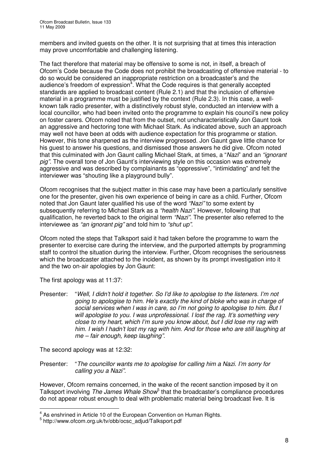members and invited guests on the other. It is not surprising that at times this interaction may prove uncomfortable and challenging listening.

The fact therefore that material may be offensive to some is not, in itself, a breach of Ofcom's Code because the Code does not prohibit the broadcasting of offensive material - to do so would be considered an inappropriate restriction on a broadcaster's and the audience's freedom of expression<sup>4</sup>. What the Code requires is that generally accepted standards are applied to broadcast content (Rule 2.1) and that the inclusion of offensive material in a programme must be justified by the context (Rule 2.3). In this case, a wellknown talk radio presenter, with a distinctively robust style, conducted an interview with a local councillor, who had been invited onto the programme to explain his council's new policy on foster carers. Ofcom noted that from the outset, not uncharacteristically Jon Gaunt took an aggressive and hectoring tone with Michael Stark. As indicated above, such an approach may well not have been at odds with audience expectation for this programme or station. However, this tone sharpened as the interview progressed. Jon Gaunt gave little chance for his guest to answer his questions, and dismissed those answers he did give. Ofcom noted that this culminated with Jon Gaunt calling Michael Stark, at times, a "*Nazi*" and an *"ignorant pig"*. The overall tone of Jon Gaunt's interviewing style on this occasion was extremely aggressive and was described by complainants as "oppressive", "intimidating" and felt the interviewer was "shouting like a playground bully".

Ofcom recognises that the subject matter in this case may have been a particularly sensitive one for the presenter, given his own experience of being in care as a child. Further, Ofcom noted that Jon Gaunt later qualified his use of the word *"Nazi"* to some extent by subsequently referring to Michael Stark as a *"health Nazi"*. However, following that qualification, he reverted back to the original term *"Nazi"*. The presenter also referred to the interviewee as *"an ignorant pig"* and told him to *"shut up"*.

Ofcom noted the steps that Talksport said it had taken before the programme to warn the presenter to exercise care during the interview, and the purported attempts by programming staff to control the situation during the interview. Further, Ofcom recognises the seriousness which the broadcaster attached to the incident, as shown by its prompt investigation into it and the two on-air apologies by Jon Gaunt:

The first apology was at 11:37:

Presenter: "*Well, I didn't hold it together. So I'd like to apologise to the listeners. I'm not going to apologise to him. He's exactly the kind of bloke who was in charge of social services when I was in care, so I'm not going to apologise to him. But I will apologise to you. I was unprofessional. I lost the rag. It's something very close to my heart, which I'm sure you know about, but I did lose my rag with him. I wish I hadn't lost my rag with him. And for those who are still laughing at me – fair enough, keep laughing".*

The second apology was at 12:32:

Presenter: "*The councillor wants me to apologise for calling him a Nazi. I'm sorry for calling you a Nazi".*

However, Ofcom remains concerned, in the wake of the recent sanction imposed by it on Talksport involving *The James Whale Show* 5 that the broadcaster's compliance procedures do not appear robust enough to deal with problematic material being broadcast live. It is

 $^{4}_{-}$  As enshrined in Article 10 of the European Convention on Human Rights.

<sup>5</sup> http://www.ofcom.org.uk/tv/obb/ocsc\_adjud/Talksport.pdf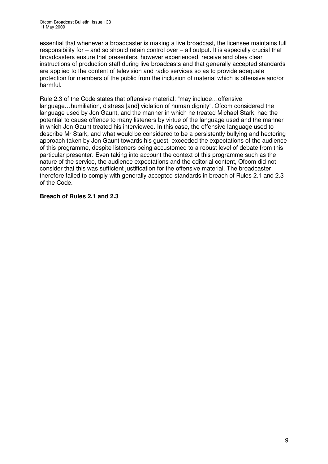essential that whenever a broadcaster is making a live broadcast, the licensee maintains full responsibility for – and so should retain control over – all output. It is especially crucial that broadcasters ensure that presenters, however experienced, receive and obey clear instructions of production staff during live broadcasts and that generally accepted standards are applied to the content of television and radio services so as to provide adequate protection for members of the public from the inclusion of material which is offensive and/or harmful.

Rule 2.3 of the Code states that offensive material: "may include…offensive language…humiliation, distress [and] violation of human dignity". Ofcom considered the language used by Jon Gaunt, and the manner in which he treated Michael Stark, had the potential to cause offence to many listeners by virtue of the language used and the manner in which Jon Gaunt treated his interviewee. In this case, the offensive language used to describe Mr Stark, and what would be considered to be a persistently bullying and hectoring approach taken by Jon Gaunt towards his guest, exceeded the expectations of the audience of this programme, despite listeners being accustomed to a robust level of debate from this particular presenter. Even taking into account the context of this programme such as the nature of the service, the audience expectations and the editorial content, Ofcom did not consider that this was sufficient justification for the offensive material. The broadcaster therefore failed to comply with generally accepted standards in breach of Rules 2.1 and 2.3 of the Code.

#### **Breach of Rules 2.1 and 2.3**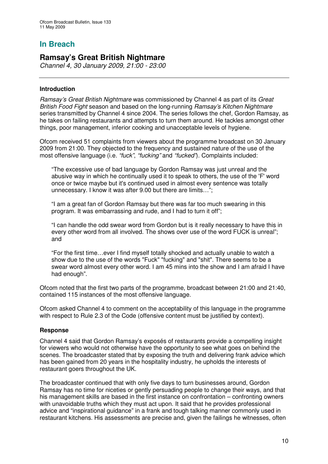# **In Breach**

## **Ramsay's Great British Nightmare**

*Channel 4, 30 January 2009, 21:00 - 23:00*

#### **Introduction**

*Ramsay's Great British Nightmare* was commissioned by Channel 4 as part of its *Great British Food Fight* season and based on the long-running *Ramsay's Kitchen Nightmare* series transmitted by Channel 4 since 2004. The series follows the chef, Gordon Ramsay, as he takes on failing restaurants and attempts to turn them around. He tackles amongst other things, poor management, inferior cooking and unacceptable levels of hygiene.

Ofcom received 51 complaints from viewers about the programme broadcast on 30 January 2009 from 21:00. They objected to the frequency and sustained nature of the use of the most offensive language (i.e*. "fuck"*, *"fucking"* and *"fucked"*). Complaints included:

"The excessive use of bad language by Gordon Ramsay was just unreal and the abusive way in which he continually used it to speak to others, the use of the 'F'word once or twice maybe but it's continued used in almost every sentence was totally unnecessary. I know it was after 9.00 but there are limits…";

"I am a great fan of Gordon Ramsay but there was far too much swearing in this program. It was embarrassing and rude, and I had to turn it off";

"I can handle the odd swear word from Gordon but is it really necessary to have this in every other word from all involved. The shows over use of the word FUCK is unreal"; and

"For the first time…ever I find myself totally shocked and actually unable to watch a show due to the use of the words "Fuck" "fucking" and "shit". There seems to be a swear word almost every other word. I am 45 mins into the show and I am afraid I have had enough".

Ofcom noted that the first two parts of the programme, broadcast between 21:00 and 21:40, contained 115 instances of the most offensive language.

Ofcom asked Channel 4 to comment on the acceptability of this language in the programme with respect to Rule 2.3 of the Code (offensive content must be justified by context).

#### **Response**

Channel 4 said that Gordon Ramsay's exposés of restaurants provide a compelling insight for viewers who would not otherwise have the opportunity to see what goes on behind the scenes. The broadcaster stated that by exposing the truth and delivering frank advice which has been gained from 20 years in the hospitality industry, he upholds the interests of restaurant goers throughout the UK.

The broadcaster continued that with only five days to turn businesses around, Gordon Ramsay has no time for niceties or gently persuading people to change their ways, and that his management skills are based in the first instance on confrontation – confronting owners with unavoidable truths which they must act upon. It said that he provides professional advice and "inspirational guidance" in a frank and tough talking manner commonly used in restaurant kitchens. His assessments are precise and, given the failings he witnesses, often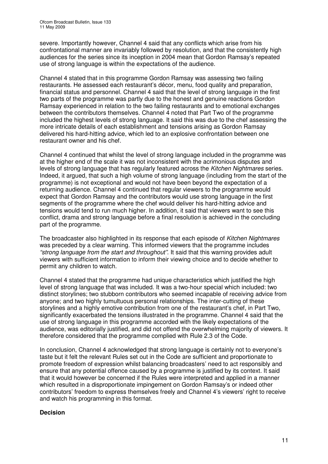severe. Importantly however, Channel 4 said that any conflicts which arise from his confrontational manner are invariably followed by resolution, and that the consistently high audiences for the series since its inception in 2004 mean that Gordon Ramsay's repeated use of strong language is within the expectations of the audience.

Channel 4 stated that in this programme Gordon Ramsay was assessing two failing restaurants. He assessed each restaurant's décor, menu, food quality and preparation, financial status and personnel. Channel 4 said that the level of strong language in the first two parts of the programme was partly due to the honest and genuine reactions Gordon Ramsay experienced in relation to the two failing restaurants and to emotional exchanges between the contributors themselves. Channel 4 noted that Part Two of the programme included the highest levels of strong language. It said this was due to the chef assessing the more intricate details of each establishment and tensions arising as Gordon Ramsay delivered his hard-hitting advice, which led to an explosive confrontation between one restaurant owner and his chef.

Channel 4 continued that whilst the level of strong language included in the programme was at the higher end of the scale it was not inconsistent with the acrimonious disputes and levels of strong language that has regularly featured across the *Kitchen Nightmares* series. Indeed, it argued, that such a high volume of strong language (including from the start of the programme) is not exceptional and would not have been beyond the expectation of a returning audience. Channel 4 continued that regular viewers to the programme would expect that Gordon Ramsay and the contributors would use strong language in the first segments of the programme where the chef would deliver his hard-hitting advice and tensions would tend to run much higher. In addition, it said that viewers want to see this conflict, drama and strong language before a final resolution is achieved in the concluding part of the programme.

The broadcaster also highlighted in its response that each episode of *Kitchen Nightmares* was preceded by a clear warning. This informed viewers that the programme includes *"strong language from the start and throughout"*. It said that this warning provides adult viewers with sufficient information to inform their viewing choice and to decide whether to permit any children to watch.

Channel 4 stated that the programme had unique characteristics which justified the high level of strong language that was included. It was a two-hour special which included: two distinct storylines; two stubborn contributors who seemed incapable of receiving advice from anyone; and two highly tumultuous personal relationships. The inter-cutting of these storylines and a highly emotive contribution from one of the restaurant's chef, in Part Two, significantly exacerbated the tensions illustrated in the programme. Channel 4 said that the use of strong language in this programme accorded with the likely expectations of the audience, was editorially justified, and did not offend the overwhelming majority of viewers. It therefore considered that the programme complied with Rule 2.3 of the Code.

In conclusion, Channel 4 acknowledged that strong language is certainly not to everyone's taste but it felt the relevant Rules set out in the Code are sufficient and proportionate to promote freedom of expression whilst balancing broadcasters' need to act responsibly and ensure that any potential offence caused by a programme is justified by its context. It said that it would however be concerned if the Rules were interpreted and applied in a manner which resulted in a disproportionate impingement on Gordon Ramsay's or indeed other contributors' freedom to express themselves freely and Channel 4's viewers' right to receive and watch his programming in this format.

#### **Decision**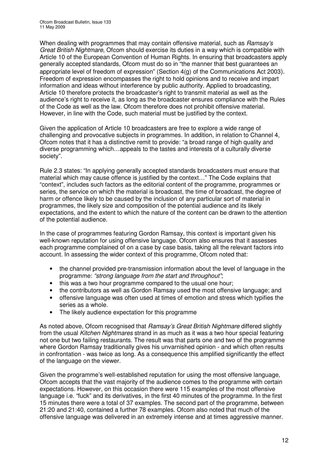When dealing with programmes that may contain offensive material, such as *Ramsay's Great British Nightmare*, Ofcom should exercise its duties in a way which is compatible with Article 10 of the European Convention of Human Rights. In ensuring that broadcasters apply generally accepted standards, Ofcom must do so in "the manner that best guarantees an appropriate level of freedom of expression" (Section 4(g) of the Communications Act 2003). Freedom of expression encompasses the right to hold opinions and to receive and impart information and ideas without interference by public authority. Applied to broadcasting, Article 10 therefore protects the broadcaster's right to transmit material as well as the audience's right to receive it, as long as the broadcaster ensures compliance with the Rules of the Code as well as the law. Ofcom therefore does not prohibit offensive material. However, in line with the Code, such material must be justified by the context.

Given the application of Article 10 broadcasters are free to explore a wide range of challenging and provocative subjects in programmes. In addition, in relation to Channel 4, Ofcom notes that it has a distinctive remit to provide: "a broad range of high quality and diverse programming which…appeals to the tastes and interests of a culturally diverse society".

Rule 2.3 states: "In applying generally accepted standards broadcasters must ensure that material which may cause offence is justified by the context…" The Code explains that "context", includes such factors as the editorial content of the programme, programmes or series, the service on which the material is broadcast, the time of broadcast, the degree of harm or offence likely to be caused by the inclusion of any particular sort of material in programmes, the likely size and composition of the potential audience and its likely expectations, and the extent to which the nature of the content can be drawn to the attention of the potential audience.

In the case of programmes featuring Gordon Ramsay, this context is important given his well-known reputation for using offensive language. Ofcom also ensures that it assesses each programme complained of on a case by case basis, taking all the relevant factors into account. In assessing the wider context of this programme, Ofcom noted that:

- the channel provided pre-transmission information about the level of language in the programme: *"strong language from the start and throughout"*;
- this was a two hour programme compared to the usual one hour:
- the contributors as well as Gordon Ramsay used the most offensive language; and
- offensive language was often used at times of emotion and stress which typifies the series as a whole.
- The likely audience expectation for this programme

As noted above, Ofcom recognised that *Ramsay's Great British Nightmare* differed slightly from the usual *Kitchen Nightmares* strand in as much as it was a two hour special featuring not one but two failing restaurants. The result was that parts one and two of the programme where Gordon Ramsay traditionally gives his unvarnished opinion - and which often results in confrontation - was twice as long. As a consequence this amplified significantly the effect of the language on the viewer.

Given the programme's well-established reputation for using the most offensive language, Ofcom accepts that the vast majority of the audience comes to the programme with certain expectations. However, on this occasion there were 115 examples of the most offensive language i.e. "fuck" and its derivatives, in the first 40 minutes of the programme. In the first 15 minutes there were a total of 37 examples. The second part of the programme, between 21:20 and 21:40, contained a further 78 examples. Ofcom also noted that much of the offensive language was delivered in an extremely intense and at times aggressive manner.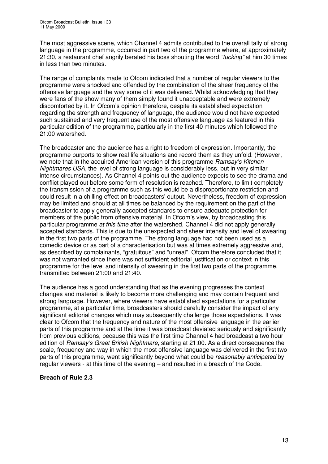The most aggressive scene, which Channel 4 admits contributed to the overall tally of strong language in the programme, occurred in part two of the programme where, at approximately 21:30, a restaurant chef angrily berated his boss shouting the word *"fucking"* at him 30 times in less than two minutes.

The range of complaints made to Ofcom indicated that a number of regular viewers to the programme were shocked and offended by the combination of the sheer frequency of the offensive language and the way some of it was delivered. Whilst acknowledging that they were fans of the show many of them simply found it unacceptable and were extremely discomforted by it. In Ofcom's opinion therefore, despite its established expectation regarding the strength and frequency of language, the audience would not have expected such sustained and very frequent use of the most offensive language as featured in this particular edition of the programme, particularly in the first 40 minutes which followed the 21:00 watershed.

The broadcaster and the audience has a right to freedom of expression. Importantly, the programme purports to show real life situations and record them as they unfold. (However, we note that in the acquired American version of this programme *Ramsay's Kitchen Nightmares USA*, the level of strong language is considerably less, but in very similar intense circumstances). As Channel 4 points out the audience expects to see the drama and conflict played out before some form of resolution is reached. Therefore, to limit completely the transmission of a programme such as this would be a disproportionate restriction and could result in a chilling effect on broadcasters' output. Nevertheless, freedom of expression may be limited and should at all times be balanced by the requirement on the part of the broadcaster to apply generally accepted standards to ensure adequate protection for members of the public from offensive material. In Ofcom's view, by broadcasting this particular programme *at this time* after the watershed, Channel 4 did not apply generally accepted standards. This is due to the unexpected and sheer intensity and level of swearing in the first two parts of the programme. The strong language had not been used as a comedic device or as part of a characterisation but was at times extremely aggressive and, as described by complainants, "gratuitous" and "unreal". Ofcom therefore concluded that it was not warranted since there was not sufficient editorial justification or context in this programme for the level and intensity of swearing in the first two parts of the programme, transmitted between 21:00 and 21:40.

The audience has a good understanding that as the evening progresses the context changes and material is likely to become more challenging and may contain frequent and strong language. However, where viewers have established expectations for a particular programme, at a particular time, broadcasters should carefully consider the impact of any significant editorial changes which may subsequently challenge those expectations. It was clear to Ofcom that the frequency and nature of the most offensive language in the earlier parts of this programme and at the time it was broadcast deviated seriously and significantly from previous editions, because this was the first time Channel 4 had broadcast a two hour edition of *Ramsay's Great British Nightmare*, starting at 21:00. As a direct consequence the scale, frequency and way in which the most offensive language was delivered in the first two parts of this programme, went significantly beyond what could be *reasonably anticipated* by regular viewers - at this time of the evening – and resulted in a breach of the Code.

#### **Breach of Rule 2.3**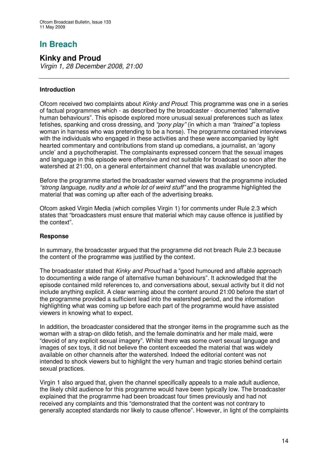# **In Breach**

**Kinky and Proud** *Virgin 1, 28 December 2008, 21:00*

## **Introduction**

Ofcom received two complaints about *Kinky and Proud*. This programme was one in a series of factual programmes which - as described by the broadcaster - documented "alternative human behaviours". This episode explored more unusual sexual preferences such as latex fetishes, spanking and cross dressing, and *"pony play"* (in which a man *"trained"* a topless woman in harness who was pretending to be a horse). The programme contained interviews with the individuals who engaged in these activities and these were accompanied by light hearted commentary and contributions from stand up comedians, a journalist, an 'agony uncle' and a psychotherapist. The complainants expressed concern that the sexual images and language in this episode were offensive and not suitable for broadcast so soon after the watershed at 21:00, on a general entertainment channel that was available unencrypted.

Before the programme started the broadcaster warned viewers that the programme included *"strong language, nudity and a whole lot of weird stuff"* and the programme highlighted the material that was coming up after each of the advertising breaks.

Ofcom asked Virgin Media (which complies Virgin 1) for comments under Rule 2.3 which states that "broadcasters must ensure that material which may cause offence is justified by the context".

#### **Response**

In summary, the broadcaster argued that the programme did not breach Rule 2.3 because the content of the programme was justified by the context.

The broadcaster stated that *Kinky and Proud* had a "good humoured and affable approach to documenting a wide range of alternative human behaviours". It acknowledged that the episode contained mild references to, and conversations about, sexual activity but it did not include anything explicit. A clear warning about the content around 21:00 before the start of the programme provided a sufficient lead into the watershed period, and the information highlighting what was coming up before each part of the programme would have assisted viewers in knowing what to expect.

In addition, the broadcaster considered that the stronger items in the programme such as the woman with a strap-on dildo fetish, and the female dominatrix and her male maid, were "devoid of any explicit sexual imagery". Whilst there was some overt sexual language and images of sex toys, it did not believe the content exceeded the material that was widely available on other channels after the watershed. Indeed the editorial content was not intended to shock viewers but to highlight the very human and tragic stories behind certain sexual practices.

Virgin 1 also argued that, given the channel specifically appeals to a male adult audience, the likely child audience for this programme would have been typically low. The broadcaster explained that the programme had been broadcast four times previously and had not received any complaints and this "demonstrated that the content was not contrary to generally accepted standards nor likely to cause offence". However, in light of the complaints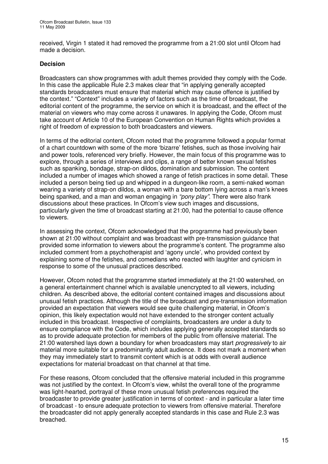received, Virgin 1 stated it had removed the programme from a 21:00 slot until Ofcom had made a decision.

#### **Decision**

Broadcasters can show programmes with adult themes provided they comply with the Code. In this case the applicable Rule 2.3 makes clear that "in applying generally accepted standards broadcasters must ensure that material which may cause offence is justified by the context." "Context" includes a variety of factors such as the time of broadcast, the editorial content of the programme, the service on which it is broadcast, and the effect of the material on viewers who may come across it unawares. In applying the Code, Ofcom must take account of Article 10 of the European Convention on Human Rights which provides a right of freedom of expression to both broadcasters and viewers.

In terms of the editorial content, Ofcom noted that the programme followed a popular format of a chart countdown with some of the more 'bizarre' fetishes, such as those involving hair and power tools, referenced very briefly. However, the main focus of this programme was to explore, through a series of interviews and clips, a range of better known sexual fetishes such as spanking, bondage, strap-on dildos, domination and submission. The content included a number of images which showed a range of fetish practices in some detail. These included a person being tied up and whipped in a dungeon-like room, a semi-naked woman wearing a variety of strap-on dildos, a woman with a bare bottom lying across a man's knees being spanked, and a man and woman engaging in *"pony play"*. There were also frank discussions about these practices. In Ofcom's view such images and discussions, particularly given the time of broadcast starting at 21:00, had the potential to cause offence to viewers.

In assessing the context, Ofcom acknowledged that the programme had previously been shown at 21:00 without complaint and was broadcast with pre-transmission guidance that provided some information to viewers about the programme's content. The programme also included comment from a psychotherapist and 'agony uncle', who provided context by explaining some of the fetishes, and comedians who reacted with laughter and cynicism in response to some of the unusual practices described.

However, Ofcom noted that the programme started immediately at the 21:00 watershed, on a general entertainment channel which is available unencrypted to all viewers, including children. As described above, the editorial content contained images and discussions about unusual fetish practices. Although the title of the broadcast and pre-transmission information provided an expectation that viewers would see quite challenging material, in Ofcom's opinion, this likely expectation would not have extended to the stronger content actually included in this broadcast. Irrespective of complaints, broadcasters are under a duty to ensure compliance with the Code, which includes applying generally accepted standards so as to provide adequate protection for members of the public from offensive material. The 21:00 watershed lays down a boundary for when broadcasters may start *progressively* to air material more suitable for a predominantly adult audience. It does not mark a moment when they may immediately start to transmit content which is at odds with overall audience expectations for material broadcast on that channel at that time.

For these reasons, Ofcom concluded that the offensive material included in this programme was not justified by the context. In Ofcom's view, whilst the overall tone of the programme was light-hearted, portrayal of these more unusual fetish preferences required the broadcaster to provide greater justification in terms of context - and in particular a later time of broadcast - to ensure adequate protection to viewers from offensive material. Therefore the broadcaster did not apply generally accepted standards in this case and Rule 2.3 was breached.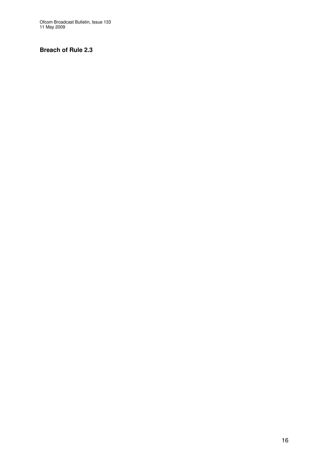Ofcom Broadcast Bulletin, Issue 133 11 May 2009

#### **Breach of Rule 2.3**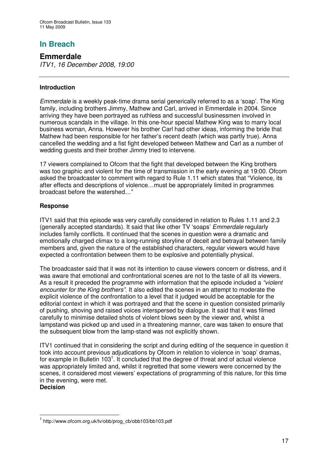# **In Breach**

## **Emmerdale**

*ITV1, 16 December 2008, 19:00*

#### **Introduction**

*Emmerdale* is a weekly peak-time drama serial generically referred to as a 'soap'. The King family, including brothers Jimmy, Mathew and Carl, arrived in Emmerdale in 2004. Since arriving they have been portrayed as ruthless and successful businessmen involved in numerous scandals in the village. In this one-hour special Mathew King was to marry local business woman, Anna. However his brother Carl had other ideas, informing the bride that Mathew had been responsible for her father's recent death (which was partly true). Anna cancelled the wedding and a fist fight developed between Mathew and Carl as a number of wedding guests and their brother Jimmy tried to intervene.

17 viewers complained to Ofcom that the fight that developed between the King brothers was too graphic and violent for the time of transmission in the early evening at 19:00. Ofcom asked the broadcaster to comment with regard to Rule 1.11 which states that "Violence, its after effects and descriptions of violence…must be appropriately limited in programmes broadcast before the watershed…"

#### **Response**

ITV1 said that this episode was very carefully considered in relation to Rules 1.11 and 2.3 (generally accepted standards). It said that like other TV 'soaps' *Emmerdale* regularly includes family conflicts. It continued that the scenes in question were a dramatic and emotionally charged climax to a long-running storyline of deceit and betrayal between family members and, given the nature of the established characters, regular viewers would have expected a confrontation between them to be explosive and potentially physical.

The broadcaster said that it was not its intention to cause viewers concern or distress, and it was aware that emotional and confrontational scenes are not to the taste of all its viewers. As a result it preceded the programme with information that the episode included a *"violent encounter for the King brothers"*. It also edited the scenes in an attempt to moderate the explicit violence of the confrontation to a level that it judged would be acceptable for the editorial context in which it was portrayed and that the scene in question consisted primarily of pushing, shoving and raised voices interspersed by dialogue. It said that it was filmed carefully to minimise detailed shots of violent blows seen by the viewer and, whilst a lampstand was picked up and used in a threatening manner, care was taken to ensure that the subsequent blow from the lamp-stand was not explicitly shown.

ITV1 continued that in considering the script and during editing of the sequence in question it took into account previous adjudications by Ofcom in relation to violence in 'soap' dramas, for example in Bulletin 103<sup>1</sup>. It concluded that the degree of threat and of actual violence was appropriately limited and, whilst it regretted that some viewers were concerned by the scenes, it considered most viewers' expectations of programming of this nature, for this time in the evening, were met. **Decision**

<sup>1</sup> http://www.ofcom.org.uk/tv/obb/prog\_cb/obb103/bb103.pdf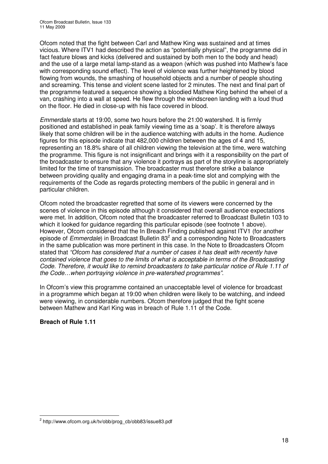Ofcom noted that the fight between Carl and Mathew King was sustained and at times vicious. Where ITV1 had described the action as "potentially physical", the programme did in fact feature blows and kicks (delivered and sustained by both men to the body and head) and the use of a large metal lamp-stand as a weapon (which was pushed into Mathew's face with corresponding sound effect). The level of violence was further heightened by blood flowing from wounds, the smashing of household objects and a number of people shouting and screaming. This tense and violent scene lasted for 2 minutes. The next and final part of the programme featured a sequence showing a bloodied Mathew King behind the wheel of a van, crashing into a wall at speed. He flew through the windscreen landing with a loud thud on the floor. He died in close-up with his face covered in blood.

*Emmerdale* starts at 19:00, some two hours before the 21:00 watershed. It is firmly positioned and established in peak family viewing time as a 'soap'. It is therefore always likely that some children will be in the audience watching with adults in the home. Audience figures for this episode indicate that 482,000 children between the ages of 4 and 15, representing an 18.8% share of all children viewing the television at the time, were watching the programme. This figure is not insignificant and brings with it a responsibility on the part of the broadcaster to ensure that any violence it portrays as part of the storyline is appropriately limited for the time of transmission. The broadcaster must therefore strike a balance between providing quality and engaging drama in a peak-time slot and complying with the requirements of the Code as regards protecting members of the public in general and in particular children.

Ofcom noted the broadcaster regretted that some of its viewers were concerned by the scenes of violence in this episode although it considered that overall audience expectations were met. In addition, Ofcom noted that the broadcaster referred to Broadcast Bulletin 103 to which it looked for guidance regarding this particular episode (see footnote 1 above). However, Ofcom considered that the In Breach Finding published against ITV1 (for another episode of *Emmerdale*) in Broadcast Bulletin 83<sup>2</sup> and a corresponding Note to Broadcasters in the same publication was more pertinent in this case. In the Note to Broadcasters Ofcom stated that *"Ofcom has considered that a number of cases it has dealt with recently have contained violence that goes to the limits of what is acceptable in terms of the Broadcasting Code. Therefore, it would like to remind broadcasters to take particular notice of Rule 1.11 of the Code…when portraying violence in pre-watershed programmes".*

In Ofcom's view this programme contained an unacceptable level of violence for broadcast in a programme which began at 19:00 when children were likely to be watching, and indeed were viewing, in considerable numbers. Ofcom therefore judged that the fight scene between Mathew and Karl King was in breach of Rule 1.11 of the Code.

#### **Breach of Rule 1.11**

<sup>&</sup>lt;sup>2</sup> http://www.ofcom.org.uk/tv/obb/prog\_cb/obb83/issue83.pdf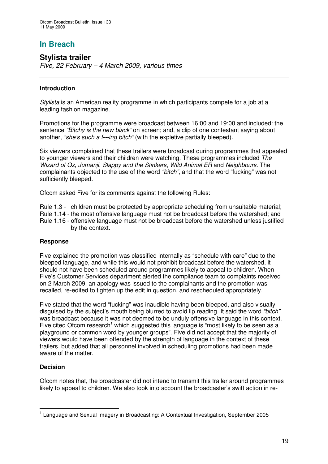# **In Breach**

## **Stylista trailer**

*Five, 22 February – 4 March 2009, various times*

#### **Introduction**

*Stylista* is an American reality programme in which participants compete for a job at a leading fashion magazine.

Promotions for the programme were broadcast between 16:00 and 19:00 and included: the sentence *"Bitchy is the new black"* on screen; and, a clip of one contestant saying about another, *"she's such a f---ing bitch"* (with the expletive partially bleeped).

Six viewers complained that these trailers were broadcast during programmes that appealed to younger viewers and their children were watching. These programmes included *The Wizard of Oz*, *Jumanji*, *Slappy and the Stinkers*, *Wild Animal ER* and *Neighbours*. The complainants objected to the use of the word *"bitch"*, and that the word "fucking" was not sufficiently bleeped.

Ofcom asked Five for its comments against the following Rules:

Rule 1.3 - children must be protected by appropriate scheduling from unsuitable material;

Rule 1.14 - the most offensive language must not be broadcast before the watershed; and

Rule 1.16 - offensive language must not be broadcast before the watershed unless justified by the context.

#### **Response**

Five explained the promotion was classified internally as "schedule with care" due to the bleeped language, and while this would not prohibit broadcast before the watershed, it should not have been scheduled around programmes likely to appeal to children. When Five's Customer Services department alerted the compliance team to complaints received on 2 March 2009, an apology was issued to the complainants and the promotion was recalled, re-edited to tighten up the edit in question, and rescheduled appropriately.

Five stated that the word "fucking" was inaudible having been bleeped, and also visually disguised by the subject's mouth being blurred to avoid lip reading. It said the word *"bitch"* was broadcast because it was not deemed to be unduly offensive language in this context. Five cited Ofcom research<sup>1</sup> which suggested this language is "most likely to be seen as a playground or common word by younger groups". Five did not accept that the majority of viewers would have been offended by the strength of language in the context of these trailers, but added that all personnel involved in scheduling promotions had been made aware of the matter.

#### **Decision**

Ofcom notes that, the broadcaster did not intend to transmit this trailer around programmes likely to appeal to children. We also took into account the broadcaster's swift action in re-

<sup>&</sup>lt;sup>1</sup> Language and Sexual Imagery in Broadcasting: A Contextual Investigation, September 2005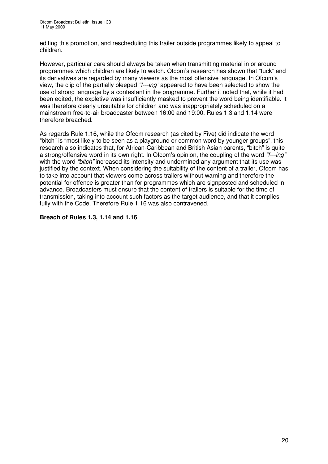editing this promotion, and rescheduling this trailer outside programmes likely to appeal to children.

However, particular care should always be taken when transmitting material in or around programmes which children are likely to watch. Ofcom's research has shown that "fuck" and its derivatives are regarded by many viewers as the most offensive language. In Ofcom's view, the clip of the partially bleeped *"f---ing"* appeared to have been selected to show the use of strong language by a contestant in the programme. Further it noted that, while it had been edited, the expletive was insufficiently masked to prevent the word being identifiable. It was therefore clearly unsuitable for children and was inappropriately scheduled on a mainstream free-to-air broadcaster between 16:00 and 19:00. Rules 1.3 and 1.14 were therefore breached.

As regards Rule 1.16, while the Ofcom research (as cited by Five) did indicate the word "bitch" is "most likely to be seen as a playground or common word by younger groups", this research also indicates that, for African-Caribbean and British Asian parents, "bitch" is quite a strong/offensive word in its own right. In Ofcom's opinion, the coupling of the word *"f---ing"* with the word *"bitch"* increased its intensity and undermined any argument that its use was justified by the context. When considering the suitability of the content of a trailer, Ofcom has to take into account that viewers come across trailers without warning and therefore the potential for offence is greater than for programmes which are signposted and scheduled in advance. Broadcasters must ensure that the content of trailers is suitable for the time of transmission, taking into account such factors as the target audience, and that it complies fully with the Code. Therefore Rule 1.16 was also contravened.

#### **Breach of Rules 1.3, 1.14 and 1.16**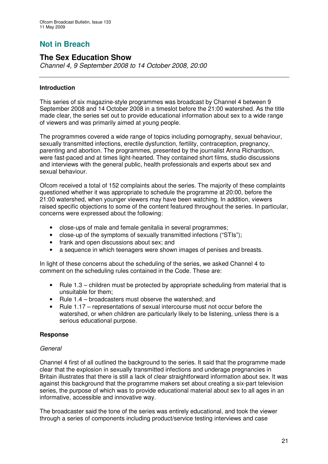# **Not in Breach**

## **The Sex Education Show**

*Channel 4, 9 September 2008 to 14 October 2008, 20:00*

#### **Introduction**

This series of six magazine-style programmes was broadcast by Channel 4 between 9 September 2008 and 14 October 2008 in a timeslot before the 21:00 watershed. As the title made clear, the series set out to provide educational information about sex to a wide range of viewers and was primarily aimed at young people.

The programmes covered a wide range of topics including pornography, sexual behaviour, sexually transmitted infections, erectile dysfunction, fertility, contraception, pregnancy, parenting and abortion. The programmes, presented by the journalist Anna Richardson, were fast-paced and at times light-hearted. They contained short films, studio discussions and interviews with the general public, health professionals and experts about sex and sexual behaviour.

Ofcom received a total of 152 complaints about the series. The majority of these complaints questioned whether it was appropriate to schedule the programme at 20:00, before the 21:00 watershed, when younger viewers may have been watching. In addition, viewers raised specific objections to some of the content featured throughout the series. In particular, concerns were expressed about the following:

- close-ups of male and female genitalia in several programmes;
- close-up of the symptoms of sexually transmitted infections ("STIs");
- frank and open discussions about sex; and
- a sequence in which teenagers were shown images of penises and breasts.

In light of these concerns about the scheduling of the series, we asked Channel 4 to comment on the scheduling rules contained in the Code. These are:

- Rule 1.3 children must be protected by appropriate scheduling from material that is unsuitable for them;
- Rule 1.4 broadcasters must observe the watershed: and
- Rule 1.17 representations of sexual intercourse must not occur before the watershed, or when children are particularly likely to be listening, unless there is a serious educational purpose.

#### **Response**

#### *General*

Channel 4 first of all outlined the background to the series. It said that the programme made clear that the explosion in sexually transmitted infections and underage pregnancies in Britain illustrates that there is still a lack of clear straightforward information about sex. It was against this background that the programme makers set about creating a six-part television series, the purpose of which was to provide educational material about sex to all ages in an informative, accessible and innovative way.

The broadcaster said the tone of the series was entirely educational, and took the viewer through a series of components including product/service testing interviews and case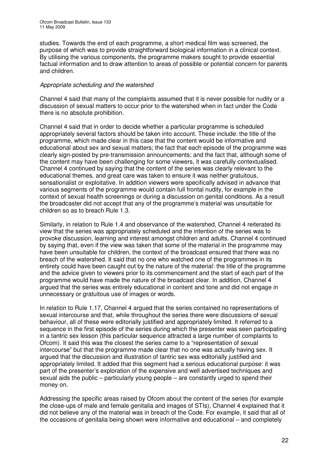studies. Towards the end of each programme, a short medical film was screened, the purpose of which was to provide straightforward biological information in a clinical context. By utilising the various components, the programme makers sought to provide essential factual information and to draw attention to areas of possible or potential concern for parents and children.

#### *Appropriate scheduling and the watershed*

Channel 4 said that many of the complaints assumed that it is never possible for nudity or a discussion of sexual matters to occur prior to the watershed when in fact under the Code there is no absolute prohibition.

Channel 4 said that in order to decide whether a particular programme is scheduled appropriately several factors should be taken into account. These include: the title of the programme, which made clear in this case that the content would be informative and educational about sex and sexual matters; the fact that each episode of the programme was clearly sign-posted by pre-transmission announcements; and the fact that, although some of the content may have been challenging for some viewers, it was carefully contextualised. Channel 4 continued by saying that the content of the series was clearly relevant to the educational themes, and great care was taken to ensure it was neither gratuitous, sensationalist or exploitative. In addition viewers were specifically advised in advance that various segments of the programme would contain full frontal nudity, for example in the context of sexual health screenings or during a discussion on genital conditions. As a result the broadcaster did not accept that any of the programme's material was unsuitable for children so as to breach Rule 1.3.

Similarly, in relation to Rule 1.4 and observance of the watershed, Channel 4 reiterated its view that the series was appropriately scheduled and the intention of the series was to provoke discussion, learning and interest amongst children and adults. Channel 4 continued by saying that, even if the view was taken that some of the material in the programme may have been unsuitable for children, the context of the broadcast ensured that there was no breach of the watershed. It said that no one who watched one of the programmes in its entirety could have been caught out by the nature of the material: the title of the programme and the advice given to viewers prior to its commencement and the start of each part of the programme would have made the nature of the broadcast clear. In addition, Channel 4 argued that the series was entirely educational in content and tone and did not engage in unnecessary or gratuitous use of images or words.

In relation to Rule 1.17, Channel 4 argued that the series contained no representations of sexual intercourse and that, while throughout the series there were discussions of sexual behaviour, all of these were editorially justified and appropriately limited. It referred to a sequence in the first episode of the series during which the presenter was seen participating in a tantric sex lesson (this particular sequence attracted a large number of complaints to Ofcom). It said this was the closest the series came to a "representation of sexual intercourse" but that the programme made clear that no one was actually having sex. It argued that the discussion and illustration of tantric sex was editorially justified and appropriately limited. It added that this segment had a serious educational purpose: it was part of the presenter's exploration of the expensive and well advertised techniques and sexual aids the public – particularly young people – are constantly urged to spend their money on.

Addressing the specific areas raised by Ofcom about the content of the series (for example the close-ups of male and female genitalia and images of STIs), Channel 4 explained that it did not believe any of the material was in breach of the Code. For example, it said that all of the occasions of genitalia being shown were informative and educational – and completely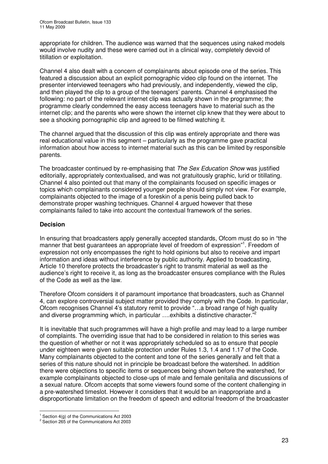appropriate for children. The audience was warned that the sequences using naked models would involve nudity and these were carried out in a clinical way, completely devoid of titillation or exploitation.

Channel 4 also dealt with a concern of complainants about episode one of the series. This featured a discussion about an explicit pornographic video clip found on the internet. The presenter interviewed teenagers who had previously, and independently, viewed the clip, and then played the clip to a group of the teenagers' parents. Channel 4 emphasised the following: no part of the relevant internet clip was actually shown in the programme; the programme clearly condemned the easy access teenagers have to material such as the internet clip; and the parents who were shown the internet clip knew that they were about to see a shocking pornographic clip and agreed to be filmed watching it.

The channel argued that the discussion of this clip was entirely appropriate and there was real educational value in this segment – particularly as the programme gave practical information about how access to internet material such as this can be limited by responsible parents.

The broadcaster continued by re-emphasising that *The Sex Education Show* was justified editorially, appropriately contextualised, and was not gratuitously graphic, lurid or titillating. Channel 4 also pointed out that many of the complainants focused on specific images or topics which complainants considered younger people should simply not view. For example, complainants objected to the image of a foreskin of a penis being pulled back to demonstrate proper washing techniques. Channel 4 argued however that these complainants failed to take into account the contextual framework of the series.

#### **Decision**

In ensuring that broadcasters apply generally accepted standards, Ofcom must do so in "the manner that best guarantees an appropriate level of freedom of expression"<sup>1</sup>. Freedom of expression not only encompasses the right to hold opinions but also to receive and impart information and ideas without interference by public authority. Applied to broadcasting, Article 10 therefore protects the broadcaster's right to transmit material as well as the audience's right to receive it, as long as the broadcaster ensures compliance with the Rules of the Code as well as the law.

Therefore Ofcom considers it of paramount importance that broadcasters, such as Channel 4, can explore controversial subject matter provided they comply with the Code. In particular, Ofcom recognises Channel 4's statutory remit to provide "…a broad range of high quality and diverse programming which, in particular .... exhibits a distinctive character."<sup>2</sup>

It is inevitable that such programmes will have a high profile and may lead to a large number of complaints. The overriding issue that had to be considered in relation to this series was the question of whether or not it was appropriately scheduled so as to ensure that people under eighteen were given suitable protection under Rules 1.3, 1.4 and 1.17 of the Code. Many complainants objected to the content and tone of the series generally and felt that a series of this nature should not in principle be broadcast before the watershed. In addition there were objections to specific items or sequences being shown before the watershed, for example complainants objected to close-ups of male and female genitalia and discussions of a sexual nature. Ofcom accepts that some viewers found some of the content challenging in a pre-watershed timeslot. However it considers that it would be an inappropriate and a disproportionate limitation on the freedom of speech and editorial freedom of the broadcaster

 $1$  Section 4(g) of the Communications Act 2003

<sup>&</sup>lt;sup>2</sup> Section 265 of the Communications Act 2003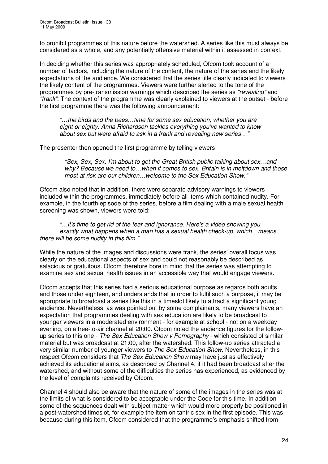to prohibit programmes of this nature before the watershed. A series like this must always be considered as a whole, and any potentially offensive material within it assessed in context.

In deciding whether this series was appropriately scheduled, Ofcom took account of a number of factors, including the nature of the content, the nature of the series and the likely expectations of the audience. We considered that the series title clearly indicated to viewers the likely content of the programmes. Viewers were further alerted to the tone of the programmes by pre-transmission warnings which described the series as *"revealing"* and *"frank".* The context of the programme was clearly explained to viewers at the outset - before the first programme there was the following announcement:

*"…the birds and the bees…time for some sex education, whether you are eight or eighty. Anna Richardson tackles everything you've wanted to know about sex but were afraid to ask in a frank and revealing new series…"*

The presenter then opened the first programme by telling viewers:

*"Sex, Sex, Sex. I'm about to get the Great British public talking about sex…and why? Because we need to…when it comes to sex, Britain is in meltdown and those most at risk are our children…welcome to the Sex Education Show."*

Ofcom also noted that in addition, there were separate advisory warnings to viewers included within the programmes, immediately before all items which contained nudity. For example, in the fourth episode of the series, before a film dealing with a male sexual health screening was shown, viewers were told:

*"…it's time to get rid of the fear and ignorance. Here's a video showing you exactly what happens when a man has a sexual health check-up, which means there will be some nudity in this film."*

While the nature of the images and discussions were frank, the series' overall focus was clearly on the educational aspects of sex and could not reasonably be described as salacious or gratuitous. Ofcom therefore bore in mind that the series was attempting to examine sex and sexual health issues in an accessible way that would engage viewers.

Ofcom accepts that this series had a serious educational purpose as regards both adults and those under eighteen, and understands that in order to fulfil such a purpose, it may be appropriate to broadcast a series like this in a timeslot likely to attract a significant young audience. Nevertheless, as was pointed out by some complainants, many viewers have an expectation that programmes dealing with sex education are likely to be broadcast to younger viewers in a moderated environment - for example at school - not on a weekday evening, on a free-to-air channel at 20:00. Ofcom noted the audience figures for the followup series to this one - *The Sex Education Show v Pornography* - which consisted of similar material but was broadcast at 21:00, after the watershed. This follow-up series attracted a very similar number of younger viewers to *The Sex Education Show*. Nevertheless, in this respect Ofcom considers that *The Sex Education Show* may have just as effectively achieved its educational aims, as described by Channel 4, if it had been broadcast after the watershed, and without some of the difficulties the series has experienced, as evidenced by the level of complaints received by Ofcom.

Channel 4 should also be aware that the nature of some of the images in the series was at the limits of what is considered to be acceptable under the Code for this time. In addition some of the sequences dealt with subject matter which would more properly be positioned in a post-watershed timeslot, for example the item on tantric sex in the first episode. This was because during this item, Ofcom considered that the programme's emphasis shifted from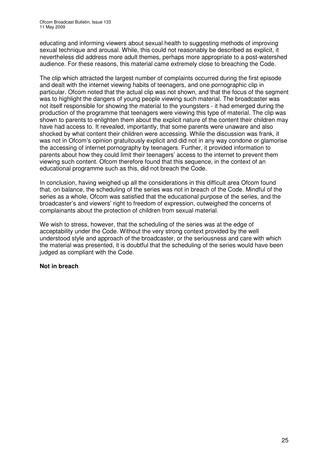educating and informing viewers about sexual health to suggesting methods of improving sexual technique and arousal. While, this could not reasonably be described as explicit, it nevertheless did address more adult themes, perhaps more appropriate to a post-watershed audience. For these reasons, this material came extremely close to breaching the Code.

The clip which attracted the largest number of complaints occurred during the first episode and dealt with the internet viewing habits of teenagers, and one pornographic clip in particular. Ofcom noted that the actual clip was not shown, and that the focus of the segment was to highlight the dangers of young people viewing such material. The broadcaster was not itself responsible for showing the material to the youngsters - it had emerged during the production of the programme that teenagers were viewing this type of material. The clip was shown to parents to enlighten them about the explicit nature of the content their children may have had access to. It revealed, importantly, that some parents were unaware and also shocked by what content their children were accessing. While the discussion was frank, it was not in Ofcom's opinion gratuitously explicit and did not in any way condone or glamorise the accessing of internet pornography by teenagers. Further, it provided information to parents about how they could limit their teenagers' access to the internet to prevent them viewing such content. Ofcom therefore found that this sequence, in the context of an educational programme such as this, did not breach the Code.

In conclusion, having weighed up all the considerations in this difficult area Ofcom found that, on balance, the scheduling of the series was not in breach of the Code. Mindful of the series as a whole, Ofcom was satisfied that the educational purpose of the series, and the broadcaster's and viewers' right to freedom of expression, outweighed the concerns of complainants about the protection of children from sexual material.

We wish to stress, however, that the scheduling of the series was at the edge of acceptability under the Code. Without the very strong context provided by the well understood style and approach of the broadcaster, or the seriousness and care with which the material was presented, it is doubtful that the scheduling of the series would have been judged as compliant with the Code.

#### **Not in breach**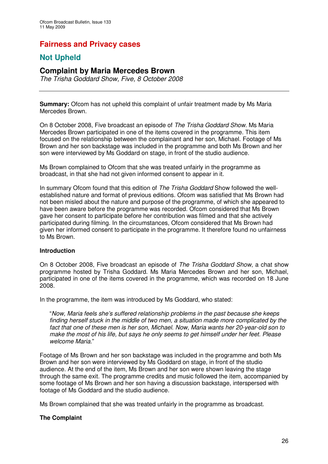# **Fairness and Privacy cases**

## **Not Upheld**

## **Complaint by Maria Mercedes Brown**

*The Trisha Goddard Show, Five, 8 October 2008*

**Summary:** Ofcom has not upheld this complaint of unfair treatment made by Ms Maria Mercedes Brown.

On 8 October 2008, Five broadcast an episode of *The Trisha Goddard Show*. Ms Maria Mercedes Brown participated in one of the items covered in the programme. This item focused on the relationship between the complainant and her son, Michael. Footage of Ms Brown and her son backstage was included in the programme and both Ms Brown and her son were interviewed by Ms Goddard on stage, in front of the studio audience.

Ms Brown complained to Ofcom that she was treated unfairly in the programme as broadcast, in that she had not given informed consent to appear in it.

In summary Ofcom found that this edition of *The Trisha Goddard* Show followed the wellestablished nature and format of previous editions. Ofcom was satisfied that Ms Brown had not been misled about the nature and purpose of the programme, of which she appeared to have been aware before the programme was recorded. Ofcom considered that Ms Brown gave her consent to participate before her contribution was filmed and that she actively participated during filming. In the circumstances, Ofcom considered that Ms Brown had given her informed consent to participate in the programme. It therefore found no unfairness to Ms Brown.

#### **Introduction**

On 8 October 2008, Five broadcast an episode of *The Trisha Goddard Show*, a chat show programme hosted by Trisha Goddard. Ms Maria Mercedes Brown and her son, Michael, participated in one of the items covered in the programme, which was recorded on 18 June 2008.

In the programme, the item was introduced by Ms Goddard, who stated:

"*Now, Maria feels she's suffered relationship problems in the past because she keeps finding herself stuck in the middle of two men, a situation made more complicated by the fact that one of these men is her son, Michael*. *Now, Maria wants her 20-year-old son to make the most of his life, but says he only seems to get himself under her feet. Please welcome Maria.*"

Footage of Ms Brown and her son backstage was included in the programme and both Ms Brown and her son were interviewed by Ms Goddard on stage, in front of the studio audience. At the end of the item, Ms Brown and her son were shown leaving the stage through the same exit. The programme credits and music followed the item, accompanied by some footage of Ms Brown and her son having a discussion backstage, interspersed with footage of Ms Goddard and the studio audience.

Ms Brown complained that she was treated unfairly in the programme as broadcast.

#### **The Complaint**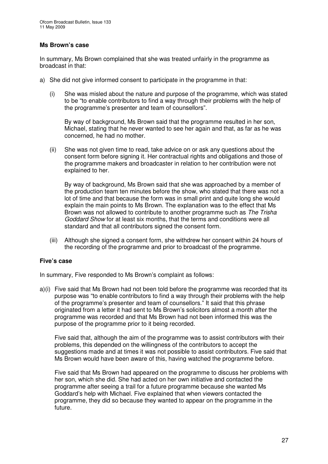#### **Ms Brown's case**

In summary, Ms Brown complained that she was treated unfairly in the programme as broadcast in that:

- a) She did not give informed consent to participate in the programme in that:
	- (i) She was misled about the nature and purpose of the programme, which was stated to be "to enable contributors to find a way through their problems with the help of the programme's presenter and team of counsellors".

By way of background, Ms Brown said that the programme resulted in her son, Michael, stating that he never wanted to see her again and that, as far as he was concerned, he had no mother.

(ii) She was not given time to read, take advice on or ask any questions about the consent form before signing it. Her contractual rights and obligations and those of the programme makers and broadcaster in relation to her contribution were not explained to her.

By way of background, Ms Brown said that she was approached by a member of the production team ten minutes before the show, who stated that there was not a lot of time and that because the form was in small print and quite long she would explain the main points to Ms Brown. The explanation was to the effect that Ms Brown was not allowed to contribute to another programme such as *The Trisha Goddard Show* for at least six months, that the terms and conditions were all standard and that all contributors signed the consent form.

(iii) Although she signed a consent form, she withdrew her consent within 24 hours of the recording of the programme and prior to broadcast of the programme.

#### **Five's case**

In summary, Five responded to Ms Brown's complaint as follows:

a)(i) Five said that Ms Brown had not been told before the programme was recorded that its purpose was "to enable contributors to find a way through their problems with the help of the programme's presenter and team of counsellors." It said that this phrase originated from a letter it had sent to Ms Brown's solicitors almost a month after the programme was recorded and that Ms Brown had not been informed this was the purpose of the programme prior to it being recorded.

Five said that, although the aim of the programme was to assist contributors with their problems, this depended on the willingness of the contributors to accept the suggestions made and at times it was not possible to assist contributors. Five said that Ms Brown would have been aware of this, having watched the programme before.

Five said that Ms Brown had appeared on the programme to discuss her problems with her son, which she did. She had acted on her own initiative and contacted the programme after seeing a trail for a future programme because she wanted Ms Goddard's help with Michael. Five explained that when viewers contacted the programme, they did so because they wanted to appear on the programme in the future.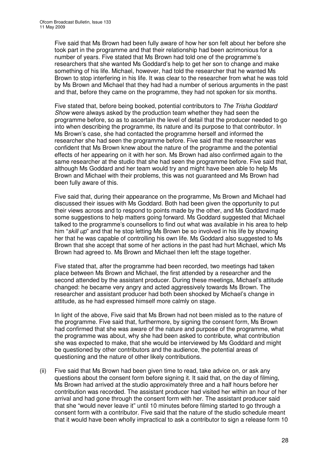Five said that Ms Brown had been fully aware of how her son felt about her before she took part in the programme and that their relationship had been acrimonious for a number of years. Five stated that Ms Brown had told one of the programme's researchers that she wanted Ms Goddard's help to get her son to change and make something of his life. Michael, however, had told the researcher that he wanted Ms Brown to stop interfering in his life. It was clear to the researcher from what he was told by Ms Brown and Michael that they had had a number of serious arguments in the past and that, before they came on the programme, they had not spoken for six months.

Five stated that, before being booked, potential contributors to *The Trisha Goddard Show* were always asked by the production team whether they had seen the programme before, so as to ascertain the level of detail that the producer needed to go into when describing the programme, its nature and its purpose to that contributor. In Ms Brown's case, she had contacted the programme herself and informed the researcher she had seen the programme before. Five said that the researcher was confident that Ms Brown knew about the nature of the programme and the potential effects of her appearing on it with her son. Ms Brown had also confirmed again to the same researcher at the studio that she had seen the programme before. Five said that, although Ms Goddard and her team would try and might have been able to help Ms Brown and Michael with their problems, this was not guaranteed and Ms Brown had been fully aware of this.

Five said that, during their appearance on the programme, Ms Brown and Michael had discussed their issues with Ms Goddard. Both had been given the opportunity to put their views across and to respond to points made by the other, and Ms Goddard made some suggestions to help matters going forward. Ms Goddard suggested that Michael talked to the programme's counsellors to find out what was available in his area to help him "*skill up*" and that he stop letting Ms Brown be so involved in his life by showing her that he was capable of controlling his own life. Ms Goddard also suggested to Ms Brown that she accept that some of her actions in the past had hurt Michael, which Ms Brown had agreed to. Ms Brown and Michael then left the stage together.

Five stated that, after the programme had been recorded, two meetings had taken place between Ms Brown and Michael, the first attended by a researcher and the second attended by the assistant producer. During these meetings, Michael's attitude changed: he became very angry and acted aggressively towards Ms Brown. The researcher and assistant producer had both been shocked by Michael's change in attitude, as he had expressed himself more calmly on stage.

In light of the above, Five said that Ms Brown had not been misled as to the nature of the programme. Five said that, furthermore, by signing the consent form, Ms Brown had confirmed that she was aware of the nature and purpose of the programme, what the programme was about, why she had been asked to contribute, what contribution she was expected to make, that she would be interviewed by Ms Goddard and might be questioned by other contributors and the audience, the potential areas of questioning and the nature of other likely contributions.

(ii) Five said that Ms Brown had been given time to read, take advice on, or ask any questions about the consent form before signing it. It said that, on the day of filming, Ms Brown had arrived at the studio approximately three and a half hours before her contribution was recorded. The assistant producer had visited her within an hour of her arrival and had gone through the consent form with her. The assistant producer said that she "would never leave it" until 10 minutes before filming started to go through a consent form with a contributor. Five said that the nature of the studio schedule meant that it would have been wholly impractical to ask a contributor to sign a release form 10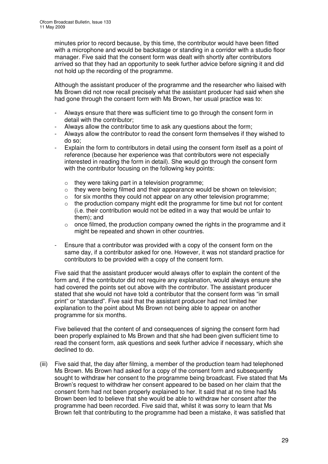minutes prior to record because, by this time, the contributor would have been fitted with a microphone and would be backstage or standing in a corridor with a studio floor manager. Five said that the consent form was dealt with shortly after contributors arrived so that they had an opportunity to seek further advice before signing it and did not hold up the recording of the programme.

Although the assistant producer of the programme and the researcher who liaised with Ms Brown did not now recall precisely what the assistant producer had said when she had gone through the consent form with Ms Brown, her usual practice was to:

- Always ensure that there was sufficient time to go through the consent form in detail with the contributor;
- Always allow the contributor time to ask any questions about the form;
- Always allow the contributor to read the consent form themselves if they wished to do so;
- Explain the form to contributors in detail using the consent form itself as a point of reference (because her experience was that contributors were not especially interested in reading the form in detail). She would go through the consent form with the contributor focusing on the following key points:
	- $\circ$  they were taking part in a television programme;
	- o they were being filmed and their appearance would be shown on television;
	- $\circ$  for six months they could not appear on any other television programme;
	- o the production company might edit the programme for time but not for content (i.e. their contribution would not be edited in a way that would be unfair to them); and
	- $\circ$  once filmed, the production company owned the rights in the programme and it might be repeated and shown in other countries.
- Ensure that a contributor was provided with a copy of the consent form on the same day, if a contributor asked for one. However, it was not standard practice for contributors to be provided with a copy of the consent form.

Five said that the assistant producer would always offer to explain the content of the form and, if the contributor did not require any explanation, would always ensure she had covered the points set out above with the contributor. The assistant producer stated that she would not have told a contributor that the consent form was "in small print" or "standard". Five said that the assistant producer had not limited her explanation to the point about Ms Brown not being able to appear on another programme for six months.

Five believed that the content of and consequences of signing the consent form had been properly explained to Ms Brown and that she had been given sufficient time to read the consent form, ask questions and seek further advice if necessary, which she declined to do.

(iii) Five said that, the day after filming, a member of the production team had telephoned Ms Brown. Ms Brown had asked for a copy of the consent form and subsequently sought to withdraw her consent to the programme being broadcast. Five stated that Ms Brown's request to withdraw her consent appeared to be based on her claim that the consent form had not been properly explained to her. It said that at no time had Ms Brown been led to believe that she would be able to withdraw her consent after the programme had been recorded. Five said that, whilst it was sorry to learn that Ms Brown felt that contributing to the programme had been a mistake, it was satisfied that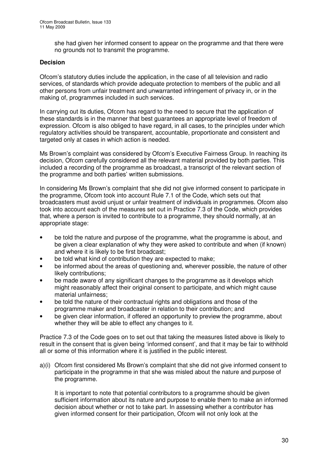she had given her informed consent to appear on the programme and that there were no grounds not to transmit the programme.

#### **Decision**

Ofcom's statutory duties include the application, in the case of all television and radio services, of standards which provide adequate protection to members of the public and all other persons from unfair treatment and unwarranted infringement of privacy in, or in the making of, programmes included in such services.

In carrying out its duties, Ofcom has regard to the need to secure that the application of these standards is in the manner that best guarantees an appropriate level of freedom of expression. Ofcom is also obliged to have regard, in all cases, to the principles under which regulatory activities should be transparent, accountable, proportionate and consistent and targeted only at cases in which action is needed.

Ms Brown's complaint was considered by Ofcom's Executive Fairness Group. In reaching its decision, Ofcom carefully considered all the relevant material provided by both parties. This included a recording of the programme as broadcast, a transcript of the relevant section of the programme and both parties' written submissions.

In considering Ms Brown's complaint that she did not give informed consent to participate in the programme, Ofcom took into account Rule 7.1 of the Code, which sets out that broadcasters must avoid unjust or unfair treatment of individuals in programmes. Ofcom also took into account each of the measures set out in Practice 7.3 of the Code, which provides that, where a person is invited to contribute to a programme, they should normally, at an appropriate stage:

- be told the nature and purpose of the programme, what the programme is about, and be given a clear explanation of why they were asked to contribute and when (if known) and where it is likely to be first broadcast;
- be told what kind of contribution they are expected to make;
- be informed about the areas of questioning and, wherever possible, the nature of other likely contributions;
- be made aware of any significant changes to the programme as it develops which might reasonably affect their original consent to participate, and which might cause material unfairness;
- be told the nature of their contractual rights and obligations and those of the programme maker and broadcaster in relation to their contribution; and
- be given clear information, if offered an opportunity to preview the programme, about whether they will be able to effect any changes to it.

Practice 7.3 of the Code goes on to set out that taking the measures listed above is likely to result in the consent that is given being 'informed consent', and that it may be fair to withhold all or some of this information where it is justified in the public interest.

a)(i) Ofcom first considered Ms Brown's complaint that she did not give informed consent to participate in the programme in that she was misled about the nature and purpose of the programme.

It is important to note that potential contributors to a programme should be given sufficient information about its nature and purpose to enable them to make an informed decision about whether or not to take part. In assessing whether a contributor has given informed consent for their participation, Ofcom will not only look at the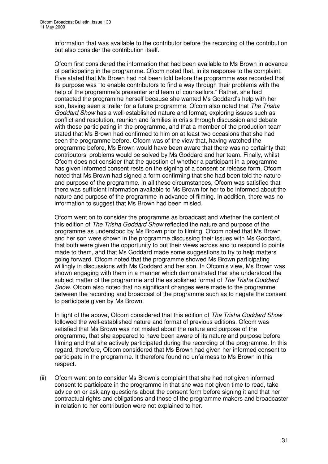information that was available to the contributor before the recording of the contribution but also consider the contribution itself.

Ofcom first considered the information that had been available to Ms Brown in advance of participating in the programme. Ofcom noted that, in its response to the complaint, Five stated that Ms Brown had not been told before the programme was recorded that its purpose was "to enable contributors to find a way through their problems with the help of the programme's presenter and team of counsellors." Rather, she had contacted the programme herself because she wanted Ms Goddard's help with her son, having seen a trailer for a future programme. Ofcom also noted that *The Trisha Goddard Show* has a well-established nature and format, exploring issues such as conflict and resolution, reunion and families in crisis through discussion and debate with those participating in the programme, and that a member of the production team stated that Ms Brown had confirmed to him on at least two occasions that she had seen the programme before. Ofcom was of the view that, having watched the programme before, Ms Brown would have been aware that there was no certainty that contributors' problems would be solved by Ms Goddard and her team. Finally, whilst Ofcom does not consider that the question of whether a participant in a programme has given informed consent rests on the signing of a consent or release form, Ofcom noted that Ms Brown had signed a form confirming that she had been told the nature and purpose of the programme. In all these circumstances, Ofcom was satisfied that there was sufficient information available to Ms Brown for her to be informed about the nature and purpose of the programme in advance of filming. In addition, there was no information to suggest that Ms Brown had been misled.

Ofcom went on to consider the programme as broadcast and whether the content of this edition of *The Trisha Goddard Show* reflected the nature and purpose of the programme as understood by Ms Brown prior to filming. Ofcom noted that Ms Brown and her son were shown in the programme discussing their issues with Ms Goddard, that both were given the opportunity to put their views across and to respond to points made to them, and that Ms Goddard made some suggestions to try to help matters going forward. Ofcom noted that the programme showed Ms Brown participating willingly in discussions with Ms Goddard and her son. In Ofcom's view, Ms Brown was shown engaging with them in a manner which demonstrated that she understood the subject matter of the programme and the established format of *The Trisha Goddard Show*. Ofcom also noted that no significant changes were made to the programme between the recording and broadcast of the programme such as to negate the consent to participate given by Ms Brown.

In light of the above, Ofcom considered that this edition of *The Trisha Goddard Show* followed the well-established nature and format of previous editions. Ofcom was satisfied that Ms Brown was not misled about the nature and purpose of the programme, that she appeared to have been aware of its nature and purpose before filming and that she actively participated during the recording of the programme. In this regard, therefore, Ofcom considered that Ms Brown had given her informed consent to participate in the programme. It therefore found no unfairness to Ms Brown in this respect.

(ii) Ofcom went on to consider Ms Brown's complaint that she had not given informed consent to participate in the programme in that she was not given time to read, take advice on or ask any questions about the consent form before signing it and that her contractual rights and obligations and those of the programme makers and broadcaster in relation to her contribution were not explained to her.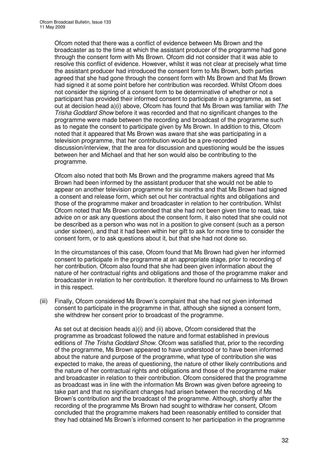Ofcom noted that there was a conflict of evidence between Ms Brown and the broadcaster as to the time at which the assistant producer of the programme had gone through the consent form with Ms Brown. Ofcom did not consider that it was able to resolve this conflict of evidence. However, whilst it was not clear at precisely what time the assistant producer had introduced the consent form to Ms Brown, both parties agreed that she had gone through the consent form with Ms Brown and that Ms Brown had signed it at some point before her contribution was recorded. Whilst Ofcom does not consider the signing of a consent form to be determinative of whether or not a participant has provided their informed consent to participate in a programme, as set out at decision head a)(i) above, Ofcom has found that Ms Brown was familiar with *The Trisha Goddard Show* before it was recorded and that no significant changes to the programme were made between the recording and broadcast of the programme such as to negate the consent to participate given by Ms Brown. In addition to this, Ofcom noted that it appeared that Ms Brown was aware that she was participating in a television programme, that her contribution would be a pre-recorded discussion/interview, that the area for discussion and questioning would be the issues between her and Michael and that her son would also be contributing to the programme.

Ofcom also noted that both Ms Brown and the programme makers agreed that Ms Brown had been informed by the assistant producer that she would not be able to appear on another television programme for six months and that Ms Brown had signed a consent and release form, which set out her contractual rights and obligations and those of the programme maker and broadcaster in relation to her contribution. Whilst Ofcom noted that Ms Brown contended that she had not been given time to read, take advice on or ask any questions about the consent form, it also noted that she could not be described as a person who was not in a position to give consent (such as a person under sixteen), and that it had been within her gift to ask for more time to consider the consent form, or to ask questions about it, but that she had not done so.

In the circumstances of this case, Ofcom found that Ms Brown had given her informed consent to participate in the programme at an appropriate stage, prior to recording of her contribution. Ofcom also found that she had been given information about the nature of her contractual rights and obligations and those of the programme maker and broadcaster in relation to her contribution. It therefore found no unfairness to Ms Brown in this respect.

(iii) Finally, Ofcom considered Ms Brown's complaint that she had not given informed consent to participate in the programme in that, although she signed a consent form, she withdrew her consent prior to broadcast of the programme.

As set out at decision heads a)(i) and (ii) above, Ofcom considered that the programme as broadcast followed the nature and format established in previous editions of *The Trisha Goddard Show*. Ofcom was satisfied that, prior to the recording of the programme, Ms Brown appeared to have understood or to have been informed about the nature and purpose of the programme, what type of contribution she was expected to make, the areas of questioning, the nature of other likely contributions and the nature of her contractual rights and obligations and those of the programme maker and broadcaster in relation to their contribution. Ofcom considered that the programme as broadcast was in line with the information Ms Brown was given before agreeing to take part and that no significant changes had arisen between the recording of Ms Brown's contribution and the broadcast of the programme. Although, shortly after the recording of the programme Ms Brown had sought to withdraw her consent, Ofcom concluded that the programme makers had been reasonably entitled to consider that they had obtained Ms Brown's informed consent to her participation in the programme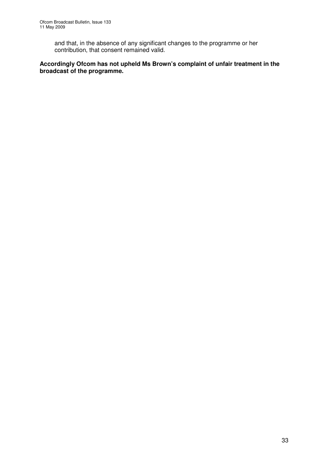and that, in the absence of any significant changes to the programme or her contribution, that consent remained valid.

#### **Accordingly Ofcom has not upheld Ms Brown's complaint of unfair treatment in the broadcast of the programme.**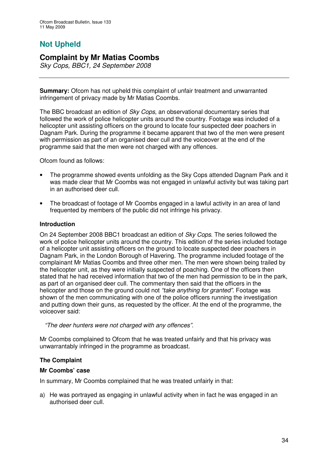# **Not Upheld**

## **Complaint by Mr Matias Coombs**

*Sky Cops, BBC1, 24 September 2008*

**Summary:** Ofcom has not upheld this complaint of unfair treatment and unwarranted infringement of privacy made by Mr Matias Coombs.

The BBC broadcast an edition of *Sky Cops*, an observational documentary series that followed the work of police helicopter units around the country. Footage was included of a helicopter unit assisting officers on the ground to locate four suspected deer poachers in Dagnam Park. During the programme it became apparent that two of the men were present with permission as part of an organised deer cull and the voiceover at the end of the programme said that the men were not charged with any offences.

Ofcom found as follows:

- The programme showed events unfolding as the Sky Cops attended Dagnam Park and it was made clear that Mr Coombs was not engaged in unlawful activity but was taking part in an authorised deer cull.
- The broadcast of footage of Mr Coombs engaged in a lawful activity in an area of land frequented by members of the public did not infringe his privacy.

#### **Introduction**

On 24 September 2008 BBC1 broadcast an edition of *Sky Cops*. The series followed the work of police helicopter units around the country. This edition of the series included footage of a helicopter unit assisting officers on the ground to locate suspected deer poachers in Dagnam Park, in the London Borough of Havering. The programme included footage of the complainant Mr Matias Coombs and three other men. The men were shown being trailed by the helicopter unit, as they were initially suspected of poaching. One of the officers then stated that he had received information that two of the men had permission to be in the park, as part of an organised deer cull. The commentary then said that the officers in the helicopter and those on the ground could not *"take anything for granted"*. Footage was shown of the men communicating with one of the police officers running the investigation and putting down their guns, as requested by the officer. At the end of the programme, the voiceover said:

*"The deer hunters were not charged with any offences".*

Mr Coombs complained to Ofcom that he was treated unfairly and that his privacy was unwarrantably infringed in the programme as broadcast.

#### **The Complaint**

#### **Mr Coombs' case**

In summary, Mr Coombs complained that he was treated unfairly in that:

a) He was portrayed as engaging in unlawful activity when in fact he was engaged in an authorised deer cull.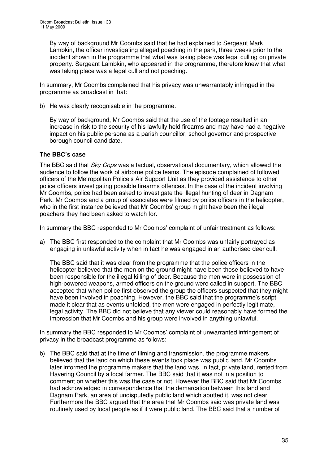By way of background Mr Coombs said that he had explained to Sergeant Mark Lambkin, the officer investigating alleged poaching in the park, three weeks prior to the incident shown in the programme that what was taking place was legal culling on private property. Sergeant Lambkin, who appeared in the programme, therefore knew that what was taking place was a legal cull and not poaching.

In summary, Mr Coombs complained that his privacy was unwarrantably infringed in the programme as broadcast in that:

b) He was clearly recognisable in the programme.

By way of background, Mr Coombs said that the use of the footage resulted in an increase in risk to the security of his lawfully held firearms and may have had a negative impact on his public persona as a parish councillor, school governor and prospective borough council candidate.

#### **The BBC's case**

The BBC said that *Sky Cops* was a factual, observational documentary, which allowed the audience to follow the work of airborne police teams. The episode complained of followed officers of the Metropolitan Police's Air Support Unit as they provided assistance to other police officers investigating possible firearms offences. In the case of the incident involving Mr Coombs, police had been asked to investigate the illegal hunting of deer in Dagnam Park. Mr Coombs and a group of associates were filmed by police officers in the helicopter, who in the first instance believed that Mr Coombs' group might have been the illegal poachers they had been asked to watch for.

In summary the BBC responded to Mr Coombs' complaint of unfair treatment as follows:

a) The BBC first responded to the complaint that Mr Coombs was unfairly portrayed as engaging in unlawful activity when in fact he was engaged in an authorised deer cull.

The BBC said that it was clear from the programme that the police officers in the helicopter believed that the men on the ground might have been those believed to have been responsible for the illegal killing of deer. Because the men were in possession of high-powered weapons, armed officers on the ground were called in support. The BBC accepted that when police first observed the group the officers suspected that they might have been involved in poaching. However, the BBC said that the programme's script made it clear that as events unfolded, the men were engaged in perfectly legitimate, legal activity. The BBC did not believe that any viewer could reasonably have formed the impression that Mr Coombs and his group were involved in anything unlawful.

In summary the BBC responded to Mr Coombs' complaint of unwarranted infringement of privacy in the broadcast programme as follows:

b) The BBC said that at the time of filming and transmission, the programme makers believed that the land on which these events took place was public land. Mr Coombs later informed the programme makers that the land was, in fact, private land, rented from Havering Council by a local farmer. The BBC said that it was not in a position to comment on whether this was the case or not. However the BBC said that Mr Coombs had acknowledged in correspondence that the demarcation between this land and Dagnam Park, an area of undisputedly public land which abutted it, was not clear. Furthermore the BBC argued that the area that Mr Coombs said was private land was routinely used by local people as if it were public land. The BBC said that a number of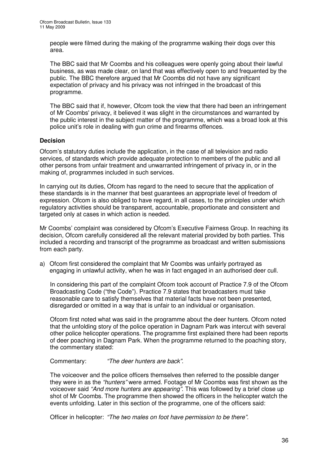people were filmed during the making of the programme walking their dogs over this area.

The BBC said that Mr Coombs and his colleagues were openly going about their lawful business, as was made clear, on land that was effectively open to and frequented by the public. The BBC therefore argued that Mr Coombs did not have any significant expectation of privacy and his privacy was not infringed in the broadcast of this programme.

The BBC said that if, however, Ofcom took the view that there had been an infringement of Mr Coombs'privacy, it believed it was slight in the circumstances and warranted by the public interest in the subject matter of the programme, which was a broad look at this police unit's role in dealing with gun crime and firearms offences.

#### **Decision**

Ofcom's statutory duties include the application, in the case of all television and radio services, of standards which provide adequate protection to members of the public and all other persons from unfair treatment and unwarranted infringement of privacy in, or in the making of, programmes included in such services.

In carrying out its duties, Ofcom has regard to the need to secure that the application of these standards is in the manner that best guarantees an appropriate level of freedom of expression. Ofcom is also obliged to have regard, in all cases, to the principles under which regulatory activities should be transparent, accountable, proportionate and consistent and targeted only at cases in which action is needed.

Mr Coombs' complaint was considered by Ofcom's Executive Fairness Group. In reaching its decision, Ofcom carefully considered all the relevant material provided by both parties. This included a recording and transcript of the programme as broadcast and written submissions from each party.

a) Ofcom first considered the complaint that Mr Coombs was unfairly portrayed as engaging in unlawful activity, when he was in fact engaged in an authorised deer cull.

In considering this part of the complaint Ofcom took account of Practice 7.9 of the Ofcom Broadcasting Code ("the Code"). Practice 7.9 states that broadcasters must take reasonable care to satisfy themselves that material facts have not been presented, disregarded or omitted in a way that is unfair to an individual or organisation.

Ofcom first noted what was said in the programme about the deer hunters. Ofcom noted that the unfolding story of the police operation in Dagnam Park was intercut with several other police helicopter operations. The programme first explained there had been reports of deer poaching in Dagnam Park. When the programme returned to the poaching story, the commentary stated:

Commentary: *"The deer hunters are back".*

The voiceover and the police officers themselves then referred to the possible danger they were in as the *"hunters"* were armed. Footage of Mr Coombs was first shown as the voiceover said *"And more hunters are appearing"*. This was followed by a brief close up shot of Mr Coombs. The programme then showed the officers in the helicopter watch the events unfolding. Later in this section of the programme, one of the officers said:

Officer in helicopter: *"The two males on foot have permission to be there".*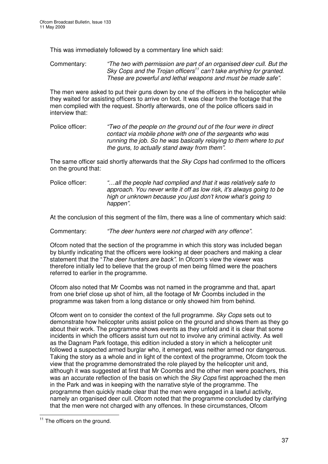This was immediately followed by a commentary line which said:

Commentary: *"The two with permission are part of an organised deer cull. But the Sky Cops and the Trojan officers 11 can't take anything for granted. These are powerful and lethal weapons and must be made safe".*

The men were asked to put their guns down by one of the officers in the helicopter while they waited for assisting officers to arrive on foot. It was clear from the footage that the men complied with the request. Shortly afterwards, one of the police officers said in interview that:

Police officer: *"Two of the people on the ground out of the four were in direct contact via mobile phone with one of the sergeants who was running the job. So he was basically relaying to them where to put the guns, to actually stand away from them".*

The same officer said shortly afterwards that the *Sky Cops* had confirmed to the officers on the ground that:

Police officer: *"…all the people had complied and that it was relatively safe to approach. You never write it off as low risk, it's always going to be high or unknown because you just don't know what's going to happen".*

At the conclusion of this segment of the film, there was a line of commentary which said:

Commentary: *"The deer hunters were not charged with any offence".*

Ofcom noted that the section of the programme in which this story was included began by bluntly indicating that the officers were looking at deer poachers and making a clear statement that the "*The deer hunters are back"*. In Ofcom's view the viewer was therefore initially led to believe that the group of men being filmed were the poachers referred to earlier in the programme.

Ofcom also noted that Mr Coombs was not named in the programme and that, apart from one brief close up shot of him, all the footage of Mr Coombs included in the programme was taken from a long distance or only showed him from behind.

Ofcom went on to consider the context of the full programme. *Sky Cops* sets out to demonstrate how helicopter units assist police on the ground and shows them as they go about their work. The programme shows events as they unfold and it is clear that some incidents in which the officers assist turn out not to involve any criminal activity. As well as the Dagnam Park footage, this edition included a story in which a helicopter unit followed a suspected armed burglar who, it emerged, was neither armed nor dangerous. Taking the story as a whole and in light of the context of the programme, Ofcom took the view that the programme demonstrated the role played by the helicopter unit and, although it was suggested at first that Mr Coombs and the other men were poachers, this was an accurate reflection of the basis on which the *Sky Cops* first approached the men in the Park and was in keeping with the narrative style of the programme. The programme then quickly made clear that the men were engaged in a lawful activity, namely an organised deer cull. Ofcom noted that the programme concluded by clarifying that the men were not charged with any offences. In these circumstances, Ofcom

<sup>&</sup>lt;sup>11</sup> The officers on the ground.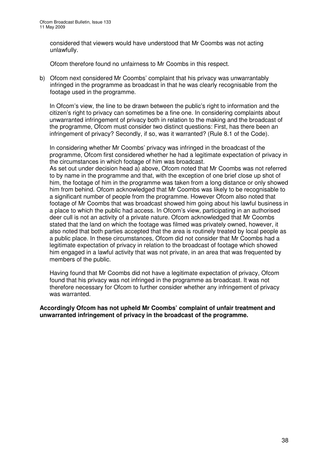considered that viewers would have understood that Mr Coombs was not acting unlawfully.

Ofcom therefore found no unfairness to Mr Coombs in this respect.

b) Ofcom next considered Mr Coombs' complaint that his privacy was unwarrantably infringed in the programme as broadcast in that he was clearly recognisable from the footage used in the programme.

In Ofcom's view, the line to be drawn between the public's right to information and the citizen's right to privacy can sometimes be a fine one. In considering complaints about unwarranted infringement of privacy both in relation to the making and the broadcast of the programme, Ofcom must consider two distinct questions: First, has there been an infringement of privacy? Secondly, if so, was it warranted? (Rule 8.1 of the Code).

In considering whether Mr Coombs' privacy was infringed in the broadcast of the programme, Ofcom first considered whether he had a legitimate expectation of privacy in the circumstances in which footage of him was broadcast.

As set out under decision head a) above, Ofcom noted that Mr Coombs was not referred to by name in the programme and that, with the exception of one brief close up shot of him, the footage of him in the programme was taken from a long distance or only showed him from behind. Ofcom acknowledged that Mr Coombs was likely to be recognisable to a significant number of people from the programme. However Ofcom also noted that footage of Mr Coombs that was broadcast showed him going about his lawful business in a place to which the public had access. In Ofcom's view, participating in an authorised deer cull is not an activity of a private nature. Ofcom acknowledged that Mr Coombs stated that the land on which the footage was filmed was privately owned, however, it also noted that both parties accepted that the area is routinely treated by local people as a public place. In these circumstances, Ofcom did not consider that Mr Coombs had a legitimate expectation of privacy in relation to the broadcast of footage which showed him engaged in a lawful activity that was not private, in an area that was frequented by members of the public.

Having found that Mr Coombs did not have a legitimate expectation of privacy, Ofcom found that his privacy was not infringed in the programme as broadcast. It was not therefore necessary for Ofcom to further consider whether any infringement of privacy was warranted.

**Accordingly Ofcom has not upheld Mr Coombs' complaint of unfair treatment and unwarranted infringement of privacy in the broadcast of the programme.**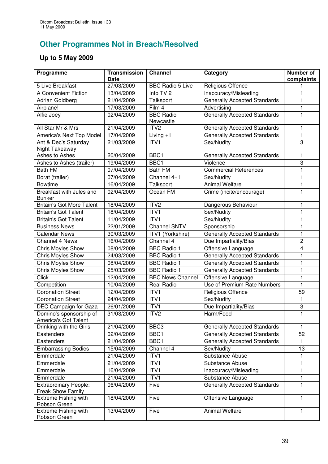# **Other Programmes Not in Breach/Resolved**

## **Up to 5 May 2009**

| Programme                                         | <b>Transmission</b><br><b>Date</b> | Channel                       | Category                            | <b>Number of</b><br>complaints |
|---------------------------------------------------|------------------------------------|-------------------------------|-------------------------------------|--------------------------------|
| 5 Live Breakfast                                  | 27/03/2009                         | <b>BBC Radio 5 Live</b>       | Religious Offence                   |                                |
| A Convenient Fiction                              | 13/04/2009                         | Info TV 2                     | Inaccuracy/Misleading               | 1                              |
| Adrian Goldberg                                   | 21/04/2009                         | Talksport                     | <b>Generally Accepted Standards</b> | 1                              |
| Airplane!                                         | 17/03/2009                         | Film 4                        | Advertising                         | 1                              |
| Alfie Joey                                        | 02/04/2009                         | <b>BBC Radio</b><br>Newcastle | <b>Generally Accepted Standards</b> | 1                              |
| All Star Mr & Mrs                                 | 21/04/2009                         | ITV <sub>2</sub>              | <b>Generally Accepted Standards</b> | 1                              |
| America's Next Top Model                          | 17/04/2009                         | Living $+1$                   | <b>Generally Accepted Standards</b> | $\mathbf{1}$                   |
| Ant & Dec's Saturday<br>Night Takeaway            | 21/03/2009                         | ITV1                          | Sex/Nudity                          | 3                              |
| Ashes to Ashes                                    | 20/04/2009                         | BBC1                          | Generally Accepted Standards        | 1                              |
| Ashes to Ashes (trailer)                          | 19/04/2009                         | BBC1                          | Violence                            | 3                              |
| <b>Bath FM</b>                                    | 07/04/2009                         | <b>Bath FM</b>                | <b>Commercial References</b>        | 1                              |
| Borat (trailer)                                   | 07/04/2009                         | Channel 4+1                   | Sex/Nudity                          | 1                              |
| <b>Bowtime</b>                                    | 16/04/2009                         | Talksport                     | <b>Animal Welfare</b>               | 1                              |
| Breakfast with Jules and<br><b>Bunker</b>         | 02/04/2009                         | Ocean FM                      | Crime (incite/encourage)            | 1                              |
| <b>Britain's Got More Talent</b>                  | 18/04/2009                         | ITV <sub>2</sub>              | Dangerous Behaviour                 | 1                              |
| <b>Britain's Got Talent</b>                       | 18/04/2009                         | ITV1                          | Sex/Nudity                          | 1                              |
| <b>Britain's Got Talent</b>                       | 11/04/2009                         | ITV1                          | Sex/Nudity                          | 1                              |
| <b>Business News</b>                              | 22/01/2009                         | <b>Channel SNTV</b>           | Sponsorship                         | 1                              |
| <b>Calendar News</b>                              | 30/03/2009                         | ITV1 (Yorkshire)              | <b>Generally Accepted Standards</b> | 1                              |
| <b>Channel 4 News</b>                             | 16/04/2009                         | Channel 4                     | Due Impartiality/Bias               | $\overline{2}$                 |
| <b>Chris Moyles Show</b>                          | 08/04/2009                         | <b>BBC Radio 1</b>            | Offensive Language                  | 4                              |
| <b>Chris Moyles Show</b>                          | 24/03/2009                         | <b>BBC Radio 1</b>            | <b>Generally Accepted Standards</b> | 1                              |
| Chris Moyles Show                                 | 08/04/2009                         | <b>BBC Radio 1</b>            | <b>Generally Accepted Standards</b> | 1                              |
| <b>Chris Moyles Show</b>                          | 25/03/2009                         | <b>BBC Radio 1</b>            | <b>Generally Accepted Standards</b> | 1                              |
| <b>Click</b>                                      | 12/04/2009                         | <b>BBC News Channel</b>       | Offensive Language                  | $\mathbf{1}$                   |
| Competition                                       | 10/04/2009                         | <b>Real Radio</b>             | Use of Premium Rate Numbers         | 1                              |
| <b>Coronation Street</b>                          | 12/04/2009                         | ITVI                          | <b>Religious Offence</b>            | 59                             |
| <b>Coronation Street</b>                          | 24/04/2009                         | ITVI                          | Sex/Nudity                          | 1                              |
| DEC Campaign for Gaza                             | 26/01/2009                         | <b>ITV1</b>                   | Due Impartiality/Bias               | 3                              |
| Domino's sponsorship of<br>America's Got Talent   | 31/03/2009                         | ITV <sub>2</sub>              | Harm/Food                           | $\mathbf{1}$                   |
| Drinking with the Girls                           | 21/04/2009                         | BBC <sub>3</sub>              | <b>Generally Accepted Standards</b> | 1                              |
| Eastenders                                        | 02/04/2009                         | BBC1                          | <b>Generally Accepted Standards</b> | 52                             |
| Eastenders                                        | 21/04/2009                         | BBC1                          | <b>Generally Accepted Standards</b> | 1                              |
| <b>Embarrassing Bodies</b>                        | 15/04/2009                         | Channel 4                     | Sex/Nudity                          | 13                             |
| Emmerdale                                         | 21/04/2009                         | ITV1                          | Substance Abuse                     | 1                              |
| Emmerdale                                         | 21/04/2009                         | <b>ITV1</b>                   | Substance Abuse                     | 1                              |
| Emmerdale                                         | 16/04/2009                         | ITV1                          | Inaccuracy/Misleading               | 1                              |
| Emmerdale                                         | 21/04/2009                         | ITV1                          | Substance Abuse                     | 1                              |
| <b>Extraordinary People:</b><br>Freak Show Family | 06/04/2009                         | Five                          | <b>Generally Accepted Standards</b> | $\blacksquare$                 |
| <b>Extreme Fishing with</b><br>Robson Green       | 18/04/2009                         | Five                          | Offensive Language                  | 1                              |
| Extreme Fishing with<br>Robson Green              | 13/04/2009                         | Five                          | Animal Welfare                      | 1                              |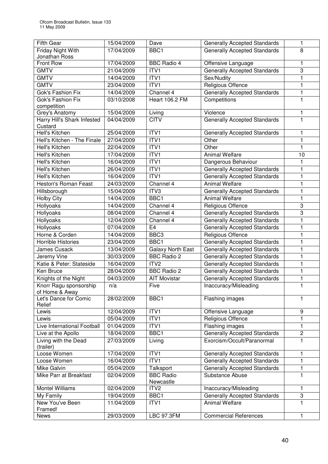| <b>Fifth Gear</b>               | 15/04/2009 | Dave                          | <b>Generally Accepted Standards</b> | 1                |
|---------------------------------|------------|-------------------------------|-------------------------------------|------------------|
| Friday Night With               | 17/04/2009 | BBC <sub>1</sub>              | <b>Generally Accepted Standards</b> | 8                |
| Jonathan Ross                   |            |                               |                                     |                  |
| Front Row                       | 17/04/2009 | <b>BBC Radio 4</b>            | Offensive Language                  | 1                |
| <b>GMTV</b>                     | 21/04/2009 | ITVI                          | <b>Generally Accepted Standards</b> | $\overline{3}$   |
| <b>GMTV</b>                     | 14/04/2009 | ITV1                          | Sex/Nudity                          | 1                |
| <b>GMTV</b>                     | 23/04/2009 | ITV1                          | Religious Offence                   | 1                |
| Gok's Fashion Fix               | 14/04/2009 | Channel 4                     | Generally Accepted Standards        | 1                |
| Gok's Fashion Fix               | 03/10/2008 | <b>Heart 106.2 FM</b>         | Competitions                        | 1                |
| competition                     |            |                               |                                     |                  |
| Grey's Anatomy                  | 15/04/2009 | Living                        | Violence                            | 1                |
| Harry Hill's Shark Infested     | 04/04/2009 | <b>CITV</b>                   | <b>Generally Accepted Standards</b> | $\mathbf{1}$     |
| Custard                         |            |                               |                                     |                  |
| Hell's Kitchen                  | 25/04/2009 | ITV1                          | <b>Generally Accepted Standards</b> | 1                |
| Hell's Kitchen - The Finale     | 27/04/2009 | ITV1                          | Other                               | $\mathbf{1}$     |
| Hell's Kitchen                  | 22/04/2009 | ITV1                          | Other                               | 1                |
| <b>Hell's Kitchen</b>           | 17/04/2009 | ITVI                          | <b>Animal Welfare</b>               | 10               |
| Hell's Kitchen                  | 16/04/2009 | ITV1                          | Dangerous Behaviour                 | 1                |
| Hell's Kitchen                  | 26/04/2009 | ITV1                          | <b>Generally Accepted Standards</b> | 1                |
| Hell's Kitchen                  | 16/04/2009 | ITV1                          | <b>Generally Accepted Standards</b> | $\mathbf{1}$     |
| Heston's Roman Feast            | 24/03/2009 | Channel 4                     | <b>Animal Welfare</b>               | $\mathbf{1}$     |
| Hillsborough                    | 15/04/2009 | ITV <sub>3</sub>              | <b>Generally Accepted Standards</b> | 1                |
| <b>Holby City</b>               | 14/04/2009 | BBC1                          | <b>Animal Welfare</b>               | 1                |
| Hollyoaks                       | 14/04/2009 | Channel 4                     | Religious Offence                   | 3                |
| Hollyoaks                       | 08/04/2009 | Channel 4                     | <b>Generally Accepted Standards</b> | 3                |
| Hollyoaks                       | 12/04/2009 | Channel 4                     | <b>Generally Accepted Standards</b> | 1                |
| Hollyoaks                       | 07/04/2009 | E4                            | <b>Generally Accepted Standards</b> | 1                |
| Horne & Corden                  | 14/04/2009 | BBC <sub>3</sub>              | Religious Offence                   | 1                |
| <b>Horrible Histories</b>       | 23/04/2009 | BBC1                          | <b>Generally Accepted Standards</b> | 1                |
| James Cusack                    | 13/04/2009 | Galaxy North East             | <b>Generally Accepted Standards</b> | $\mathbf{1}$     |
| Jeremy Vine                     | 30/03/2009 | <b>BBC Radio 2</b>            | <b>Generally Accepted Standards</b> | $\mathbf{1}$     |
| Katie & Peter: Stateside        | 16/04/2009 | ITV2                          | <b>Generally Accepted Standards</b> | 1                |
| Ken Bruce                       | 28/04/2009 | <b>BBC Radio 2</b>            | <b>Generally Accepted Standards</b> | 1                |
| Knights of the Night            | 04/03/2009 | <b>AIT Movistar</b>           | <b>Generally Accepted Standards</b> | 1                |
| Knorr Ragu sponsorship          | n/a        | Five                          | Inaccuracy/Misleading               | $\mathbf{1}$     |
| of Home & Away                  |            |                               |                                     |                  |
| Let's Dance for Comic<br>Relief | 28/02/2009 | BBC1                          | Flashing images                     | 1                |
| Lewis                           | 12/04/2009 | ITV1                          | Offensive Language                  | $\boldsymbol{9}$ |
| Lewis                           | 05/04/2009 | ITV1                          | Religious Offence                   | 1                |
| Live International Football     | 01/04/2009 | ITV1                          | Flashing images                     | $\mathbf{1}$     |
| Live at the Apollo              | 18/04/2009 | BBC1                          | <b>Generally Accepted Standards</b> | $\overline{2}$   |
| Living with the Dead            | 27/03/2009 | Living                        | Exorcism/Occult/Paranormal          | 1                |
| (trailer)<br>Loose Women        | 17/04/2009 | ITVI                          | <b>Generally Accepted Standards</b> | $\mathbf{1}$     |
| Loose Women                     | 16/04/2009 | ITV1                          | <b>Generally Accepted Standards</b> | 1                |
| Mike Galvin                     |            |                               | <b>Generally Accepted Standards</b> |                  |
|                                 | 05/04/2009 | Talksport                     |                                     | $\mathbf{1}$     |
| Mike Parr at Breakfast          | 02/04/2009 | <b>BBC Radio</b><br>Newcastle | Substance Abuse                     | 1                |
| <b>Montel Williams</b>          | 02/04/2009 | ITV <sub>2</sub>              | Inaccuracy/Misleading               | 1                |
| My Family                       | 19/04/2009 | BBC1                          | <b>Generally Accepted Standards</b> | 3                |
| New You've Been<br>Framed!      | 11/04/2009 | ITV1                          | Animal Welfare                      | $\mathbf{1}$     |
| News                            | 29/03/2009 | LBC 97.3FM                    | <b>Commercial References</b>        | 1                |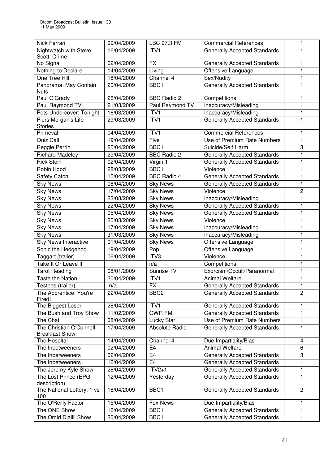| Nick Ferrari                          | 09/04/2009               | LBC 97.3 FM        | <b>Commercial References</b>                                               | 1              |
|---------------------------------------|--------------------------|--------------------|----------------------------------------------------------------------------|----------------|
| Nightwatch with Steve<br>Scott: Crime | 16/04/2009               | ITV1               | <b>Generally Accepted Standards</b>                                        | 1              |
| No Signal                             | 02/04/2009               | <b>FX</b>          | <b>Generally Accepted Standards</b>                                        | 1              |
| Nothing to Declare                    | 14/04/2009               | Living             | Offensive Language                                                         | 1              |
| One Tree Hill                         | 18/04/2009               | Channel 4          | Sex/Nudity                                                                 | 1              |
| Panorama: May Contain                 | 20/04/2009               | BBC1               | <b>Generally Accepted Standards</b>                                        | 1              |
| <b>Nuts</b>                           |                          |                    |                                                                            |                |
| Paul O'Grady                          | 26/04/2009               | <b>BBC Radio 2</b> | Competitions                                                               | 1              |
| Paul Raymond TV                       | 21/03/2009               | Paul Raymond TV    | Inaccuracy/Misleading                                                      | 1              |
| Pets Undercover: Tonight              | 16/03/2009               | ITV1               | Inaccuracy/Misleading                                                      | 1              |
| Piers Morgan's Life                   | 29/03/2009               | ITV1               | <b>Generally Accepted Standards</b>                                        | 1              |
| <b>Stories</b>                        |                          |                    |                                                                            |                |
| Primeval                              | 04/04/2009               | ITV1               | <b>Commercial References</b>                                               | 1              |
| Quiz Call                             | 19/04/2009               | Five               | Use of Premium Rate Numbers                                                | 1              |
| Reggie Perrin                         | 25/04/2009               | BBC1               | Suicide/Self Harm                                                          | 3              |
| <b>Richard Madeley</b>                | 29/04/2009               | <b>BBC Radio 2</b> | <b>Generally Accepted Standards</b>                                        | 1              |
| <b>Rick Stein</b>                     | 02/04/2009               | Virgin 1           | <b>Generally Accepted Standards</b>                                        | 1              |
| Robin Hood                            | 28/03/2009               | BBC1               | Violence                                                                   | 1              |
| Safety Catch                          | 15/04/2009               | <b>BBC Radio 4</b> | <b>Generally Accepted Standards</b>                                        | 1              |
| <b>Sky News</b>                       | 08/04/2009               | <b>Sky News</b>    | <b>Generally Accepted Standards</b>                                        | $\mathbf{1}$   |
| <b>Sky News</b>                       | 17/04/2009               | <b>Sky News</b>    | Violence                                                                   | $\overline{c}$ |
| <b>Sky News</b>                       | 23/03/2009               | <b>Sky News</b>    | Inaccuracy/Misleading                                                      | 1              |
| <b>Sky News</b>                       | 22/04/2009               | <b>Sky News</b>    | <b>Generally Accepted Standards</b>                                        | 1              |
| <b>Sky News</b>                       | 05/04/2009               | <b>Sky News</b>    | <b>Generally Accepted Standards</b>                                        | 1              |
| <b>Sky News</b>                       | 25/03/2009               | <b>Sky News</b>    | Violence                                                                   | 1              |
| <b>Sky News</b>                       | 17/04/2009               | <b>Sky News</b>    | Inaccuracy/Misleading                                                      | 1              |
| <b>Sky News</b>                       | 31/03/2009               | <b>Sky News</b>    | Inaccuracy/Misleading                                                      | 1              |
| <b>Sky News Interactive</b>           | 01/04/2009               | <b>Sky News</b>    | Offensive Language                                                         | 1              |
| Sonic the Hedgehog                    | 19/04/2009               | Pop                | Offensive Language                                                         | 1              |
| Taggart (trailer)                     | 06/04/2009               | ITV3               | Violence                                                                   | 1              |
| Take It Or Leave It                   |                          | n/a                | Competitions                                                               | 1              |
| <b>Tarot Reading</b>                  | 08/01/2009               | Sunrise TV         | Exorcism/Occult/Paranormal                                                 | 1              |
| <b>Taste the Nation</b>               | 20/04/2009               | ITV1               | <b>Animal Welfare</b>                                                      | 1              |
| Testees (trailer)                     | n/a                      | <b>FX</b>          | Generally Accepted Standards                                               | 1              |
| The Apprentice: You're                | 22/04/2009               | BBC <sub>2</sub>   | <b>Generally Accepted Standards</b>                                        | $\overline{2}$ |
| Fired!                                |                          |                    |                                                                            |                |
| The Biggest Loser                     | 28/04/2009               | ITV1               | <b>Generally Accepted Standards</b>                                        | $\mathbf{1}$   |
| The Bush and Troy Show                | 11/02/2009               | <b>GWR FM</b>      | <b>Generally Accepted Standards</b>                                        | 1              |
| The Chat                              | 08/04/2009               | Lucky Star         | Use of Premium Rate Numbers                                                | 1              |
| The Christian O'Connell               | 17/04/2009               | Absolute Radio     | <b>Generally Accepted Standards</b>                                        | $\mathbf{1}$   |
| <b>Breakfast Show</b>                 | 14/04/2009               | Channel 4          | Due Impartiality/Bias                                                      | $\overline{4}$ |
| The Hospital<br>The Inbetweeners      | 02/04/2009               | E4                 | <b>Animal Welfare</b>                                                      | 6              |
| The Inbetweeners                      |                          | E4                 |                                                                            | 3              |
| The Inbetweeners                      | 02/04/2009<br>16/04/2009 | E4                 | <b>Generally Accepted Standards</b>                                        | 1              |
|                                       |                          | $ITV2+1$           | <b>Generally Accepted Standards</b><br><b>Generally Accepted Standards</b> | 1              |
| The Jeremy Kyle Show                  | 28/04/2009               |                    |                                                                            |                |
| The Lost Prince (EPG<br>description)  | 12/04/2009               | Yesterday          | <b>Generally Accepted Standards</b>                                        | 1              |
| The National Lottery: 1 vs            | 18/04/2009               | BBC1               | <b>Generally Accepted Standards</b>                                        | $\overline{c}$ |
| 100                                   |                          |                    |                                                                            |                |
| The O'Reilly Factor                   | 15/04/2009               | Fox News           | Due Impartiality/Bias                                                      | 1              |
| The ONE Show                          | 16/04/2009               | BBC1               | <b>Generally Accepted Standards</b>                                        | 1              |
| The Omid Djalili Show                 | 20/04/2009               | BBC1               | <b>Generally Accepted Standards</b>                                        | 1              |